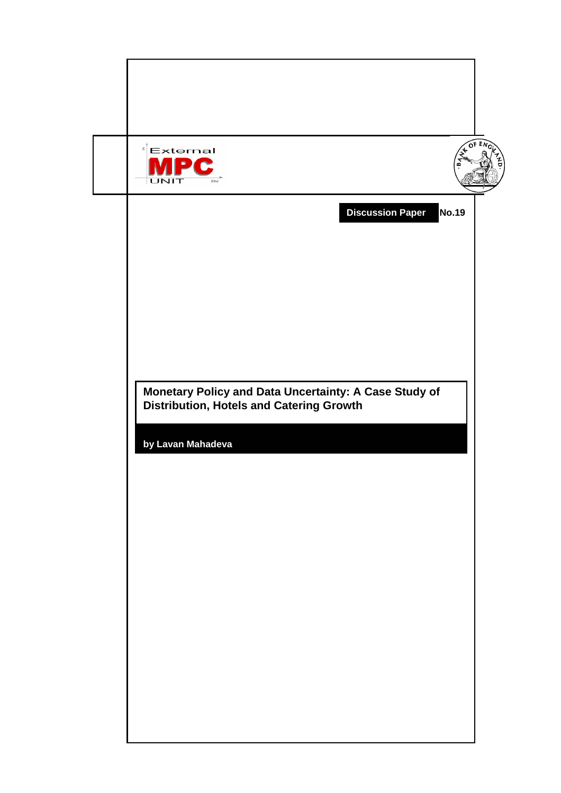| <b>A OF ENI</b><br>$\mathbb{E}$ External<br>$\blacksquare$<br>☎<br>UNIT<br>time                          |  |  |  |  |
|----------------------------------------------------------------------------------------------------------|--|--|--|--|
| <b>Discussion Paper</b><br><b>No.19</b>                                                                  |  |  |  |  |
|                                                                                                          |  |  |  |  |
|                                                                                                          |  |  |  |  |
| Monetary Policy and Data Uncertainty: A Case Study of<br><b>Distribution, Hotels and Catering Growth</b> |  |  |  |  |
| by Lavan Mahadeva                                                                                        |  |  |  |  |
|                                                                                                          |  |  |  |  |
|                                                                                                          |  |  |  |  |
|                                                                                                          |  |  |  |  |
|                                                                                                          |  |  |  |  |
|                                                                                                          |  |  |  |  |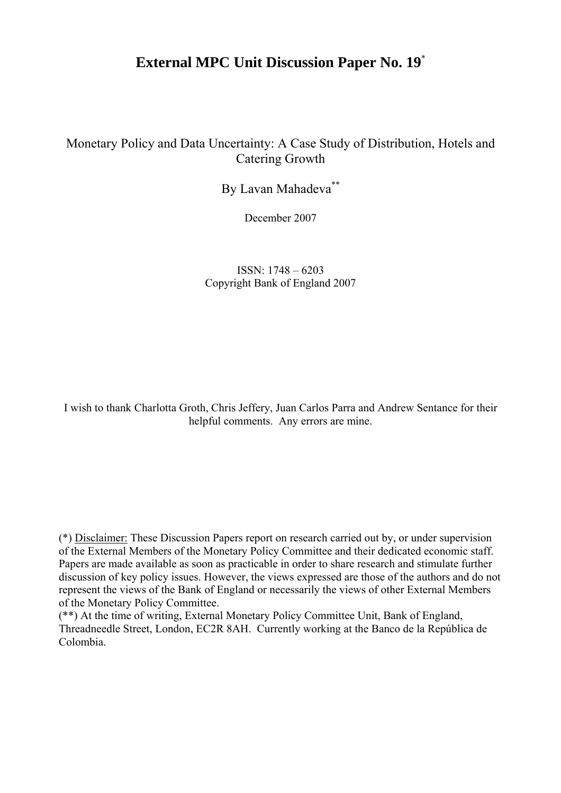## **External MPC Unit Discussion Paper No. 19**\*

Monetary Policy and Data Uncertainty: A Case Study of Distribution, Hotels and Catering Growth

By Lavan Mahadeva\*\*

December 2007

ISSN: 1748 – 6203 Copyright Bank of England 2007

I wish to thank Charlotta Groth, Chris Jeffery, Juan Carlos Parra and Andrew Sentance for their helpful comments. Any errors are mine.

(\*) Disclaimer: These Discussion Papers report on research carried out by, or under supervision of the External Members of the Monetary Policy Committee and their dedicated economic staff. Papers are made available as soon as practicable in order to share research and stimulate further discussion of key policy issues. However, the views expressed are those of the authors and do not represent the views of the Bank of England or necessarily the views of other External Members of the Monetary Policy Committee.

(\*\*) At the time of writing, External Monetary Policy Committee Unit, Bank of England, Threadneedle Street, London, EC2R 8AH. Currently working at the Banco de la República de Colombia.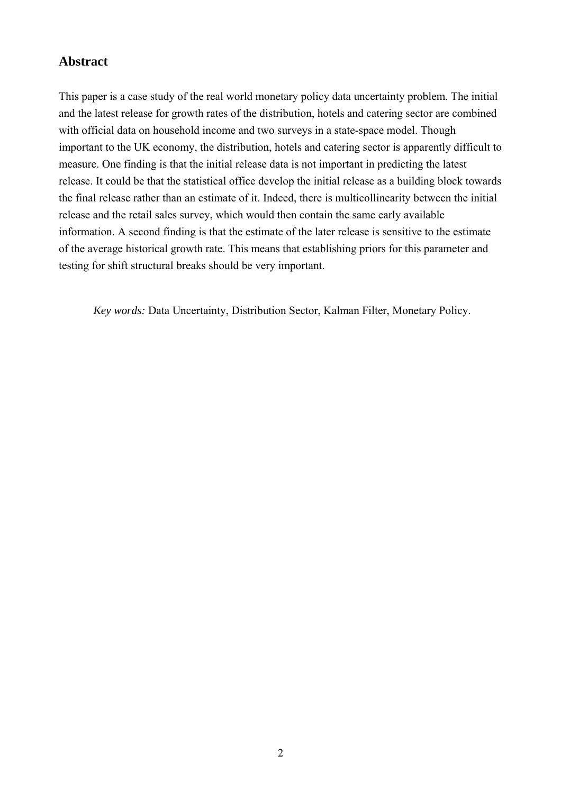## **Abstract**

This paper is a case study of the real world monetary policy data uncertainty problem. The initial and the latest release for growth rates of the distribution, hotels and catering sector are combined with official data on household income and two surveys in a state-space model. Though important to the UK economy, the distribution, hotels and catering sector is apparently difficult to measure. One finding is that the initial release data is not important in predicting the latest release. It could be that the statistical office develop the initial release as a building block towards the final release rather than an estimate of it. Indeed, there is multicollinearity between the initial release and the retail sales survey, which would then contain the same early available information. A second finding is that the estimate of the later release is sensitive to the estimate of the average historical growth rate. This means that establishing priors for this parameter and testing for shift structural breaks should be very important.

*Key words:* Data Uncertainty, Distribution Sector, Kalman Filter, Monetary Policy.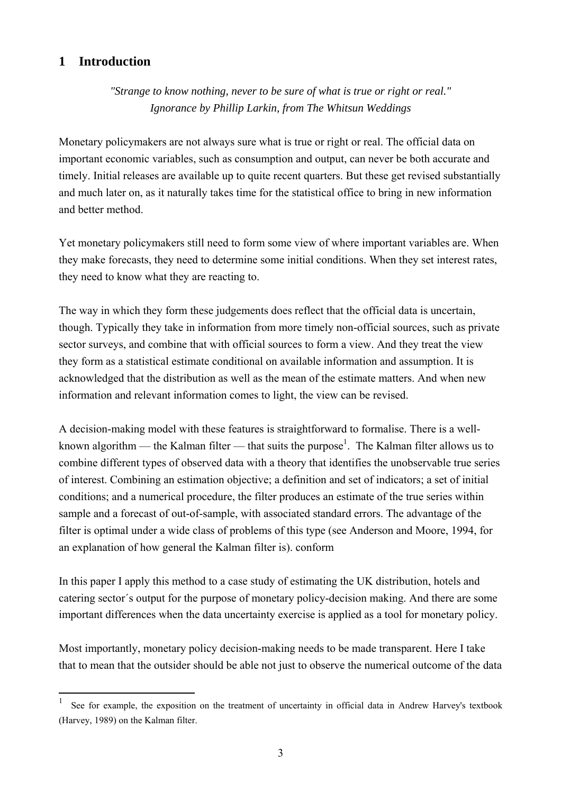## **1 Introduction**

 $\overline{a}$ 

*"Strange to know nothing, never to be sure of what is true or right or real." Ignorance by Phillip Larkin, from The Whitsun Weddings* 

Monetary policymakers are not always sure what is true or right or real. The official data on important economic variables, such as consumption and output, can never be both accurate and timely. Initial releases are available up to quite recent quarters. But these get revised substantially and much later on, as it naturally takes time for the statistical office to bring in new information and better method.

Yet monetary policymakers still need to form some view of where important variables are. When they make forecasts, they need to determine some initial conditions. When they set interest rates, they need to know what they are reacting to.

The way in which they form these judgements does reflect that the official data is uncertain, though. Typically they take in information from more timely non-official sources, such as private sector surveys, and combine that with official sources to form a view. And they treat the view they form as a statistical estimate conditional on available information and assumption. It is acknowledged that the distribution as well as the mean of the estimate matters. And when new information and relevant information comes to light, the view can be revised.

A decision-making model with these features is straightforward to formalise. There is a wellknown algorithm — the Kalman filter — that suits the purpose<sup>1</sup>. The Kalman filter allows us to combine different types of observed data with a theory that identifies the unobservable true series of interest. Combining an estimation objective; a definition and set of indicators; a set of initial conditions; and a numerical procedure, the filter produces an estimate of the true series within sample and a forecast of out-of-sample, with associated standard errors. The advantage of the filter is optimal under a wide class of problems of this type (see Anderson and Moore, 1994, for an explanation of how general the Kalman filter is). conform

In this paper I apply this method to a case study of estimating the UK distribution, hotels and catering sector´s output for the purpose of monetary policy-decision making. And there are some important differences when the data uncertainty exercise is applied as a tool for monetary policy.

Most importantly, monetary policy decision-making needs to be made transparent. Here I take that to mean that the outsider should be able not just to observe the numerical outcome of the data

<sup>1</sup> See for example, the exposition on the treatment of uncertainty in official data in Andrew Harvey's textbook (Harvey, 1989) on the Kalman filter.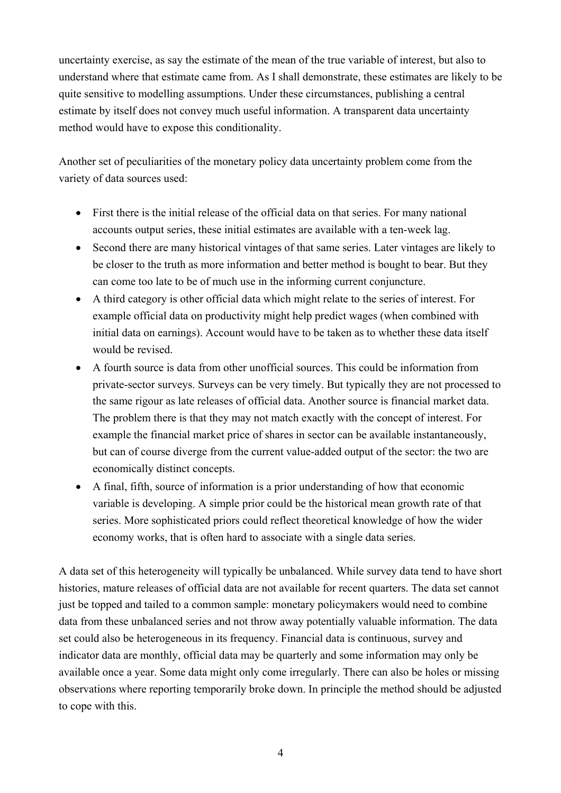uncertainty exercise, as say the estimate of the mean of the true variable of interest, but also to understand where that estimate came from. As I shall demonstrate, these estimates are likely to be quite sensitive to modelling assumptions. Under these circumstances, publishing a central estimate by itself does not convey much useful information. A transparent data uncertainty method would have to expose this conditionality.

Another set of peculiarities of the monetary policy data uncertainty problem come from the variety of data sources used:

- First there is the initial release of the official data on that series. For many national accounts output series, these initial estimates are available with a ten-week lag.
- Second there are many historical vintages of that same series. Later vintages are likely to be closer to the truth as more information and better method is bought to bear. But they can come too late to be of much use in the informing current conjuncture.
- A third category is other official data which might relate to the series of interest. For example official data on productivity might help predict wages (when combined with initial data on earnings). Account would have to be taken as to whether these data itself would be revised.
- A fourth source is data from other unofficial sources. This could be information from private-sector surveys. Surveys can be very timely. But typically they are not processed to the same rigour as late releases of official data. Another source is financial market data. The problem there is that they may not match exactly with the concept of interest. For example the financial market price of shares in sector can be available instantaneously, but can of course diverge from the current value-added output of the sector: the two are economically distinct concepts.
- A final, fifth, source of information is a prior understanding of how that economic variable is developing. A simple prior could be the historical mean growth rate of that series. More sophisticated priors could reflect theoretical knowledge of how the wider economy works, that is often hard to associate with a single data series.

A data set of this heterogeneity will typically be unbalanced. While survey data tend to have short histories, mature releases of official data are not available for recent quarters. The data set cannot just be topped and tailed to a common sample: monetary policymakers would need to combine data from these unbalanced series and not throw away potentially valuable information. The data set could also be heterogeneous in its frequency. Financial data is continuous, survey and indicator data are monthly, official data may be quarterly and some information may only be available once a year. Some data might only come irregularly. There can also be holes or missing observations where reporting temporarily broke down. In principle the method should be adjusted to cope with this.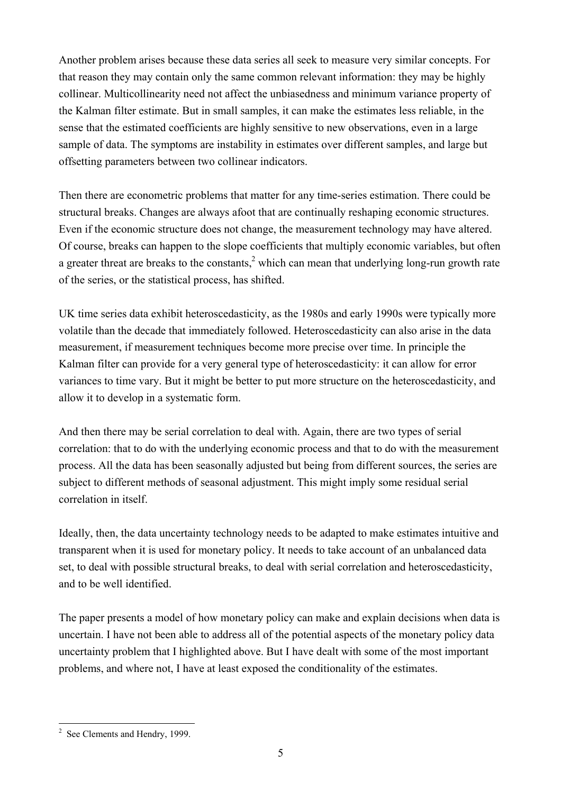Another problem arises because these data series all seek to measure very similar concepts. For that reason they may contain only the same common relevant information: they may be highly collinear. Multicollinearity need not affect the unbiasedness and minimum variance property of the Kalman filter estimate. But in small samples, it can make the estimates less reliable, in the sense that the estimated coefficients are highly sensitive to new observations, even in a large sample of data. The symptoms are instability in estimates over different samples, and large but offsetting parameters between two collinear indicators.

Then there are econometric problems that matter for any time-series estimation. There could be structural breaks. Changes are always afoot that are continually reshaping economic structures. Even if the economic structure does not change, the measurement technology may have altered. Of course, breaks can happen to the slope coefficients that multiply economic variables, but often a greater threat are breaks to the constants,  $2 \text{ which can mean that underlying long-run growth rate}$ of the series, or the statistical process, has shifted.

UK time series data exhibit heteroscedasticity, as the 1980s and early 1990s were typically more volatile than the decade that immediately followed. Heteroscedasticity can also arise in the data measurement, if measurement techniques become more precise over time. In principle the Kalman filter can provide for a very general type of heteroscedasticity: it can allow for error variances to time vary. But it might be better to put more structure on the heteroscedasticity, and allow it to develop in a systematic form.

And then there may be serial correlation to deal with. Again, there are two types of serial correlation: that to do with the underlying economic process and that to do with the measurement process. All the data has been seasonally adjusted but being from different sources, the series are subject to different methods of seasonal adjustment. This might imply some residual serial correlation in itself.

Ideally, then, the data uncertainty technology needs to be adapted to make estimates intuitive and transparent when it is used for monetary policy. It needs to take account of an unbalanced data set, to deal with possible structural breaks, to deal with serial correlation and heteroscedasticity, and to be well identified.

The paper presents a model of how monetary policy can make and explain decisions when data is uncertain. I have not been able to address all of the potential aspects of the monetary policy data uncertainty problem that I highlighted above. But I have dealt with some of the most important problems, and where not, I have at least exposed the conditionality of the estimates.

<sup>&</sup>lt;sup>2</sup> See Clements and Hendry, 1999.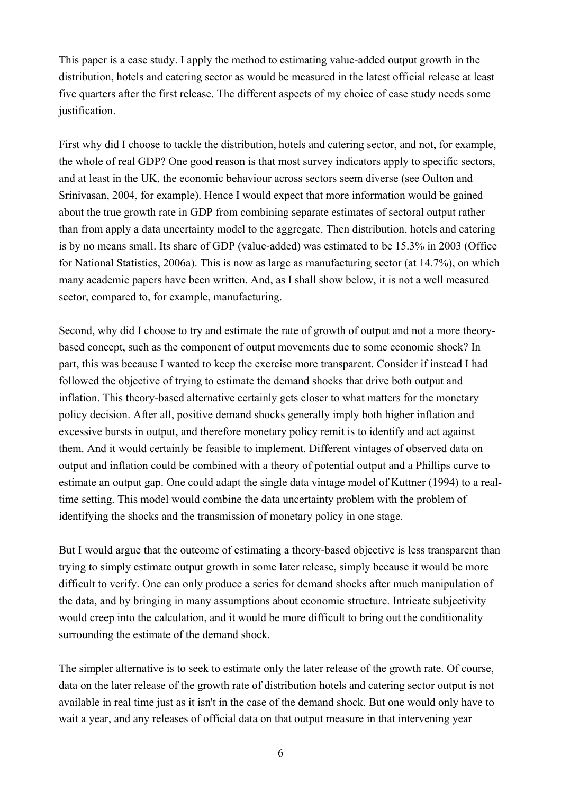This paper is a case study. I apply the method to estimating value-added output growth in the distribution, hotels and catering sector as would be measured in the latest official release at least five quarters after the first release. The different aspects of my choice of case study needs some justification.

First why did I choose to tackle the distribution, hotels and catering sector, and not, for example, the whole of real GDP? One good reason is that most survey indicators apply to specific sectors, and at least in the UK, the economic behaviour across sectors seem diverse (see Oulton and Srinivasan, 2004, for example). Hence I would expect that more information would be gained about the true growth rate in GDP from combining separate estimates of sectoral output rather than from apply a data uncertainty model to the aggregate. Then distribution, hotels and catering is by no means small. Its share of GDP (value-added) was estimated to be 15.3% in 2003 (Office for National Statistics, 2006a). This is now as large as manufacturing sector (at 14.7%), on which many academic papers have been written. And, as I shall show below, it is not a well measured sector, compared to, for example, manufacturing.

Second, why did I choose to try and estimate the rate of growth of output and not a more theorybased concept, such as the component of output movements due to some economic shock? In part, this was because I wanted to keep the exercise more transparent. Consider if instead I had followed the objective of trying to estimate the demand shocks that drive both output and inflation. This theory-based alternative certainly gets closer to what matters for the monetary policy decision. After all, positive demand shocks generally imply both higher inflation and excessive bursts in output, and therefore monetary policy remit is to identify and act against them. And it would certainly be feasible to implement. Different vintages of observed data on output and inflation could be combined with a theory of potential output and a Phillips curve to estimate an output gap. One could adapt the single data vintage model of Kuttner (1994) to a realtime setting. This model would combine the data uncertainty problem with the problem of identifying the shocks and the transmission of monetary policy in one stage.

But I would argue that the outcome of estimating a theory-based objective is less transparent than trying to simply estimate output growth in some later release, simply because it would be more difficult to verify. One can only produce a series for demand shocks after much manipulation of the data, and by bringing in many assumptions about economic structure. Intricate subjectivity would creep into the calculation, and it would be more difficult to bring out the conditionality surrounding the estimate of the demand shock.

The simpler alternative is to seek to estimate only the later release of the growth rate. Of course, data on the later release of the growth rate of distribution hotels and catering sector output is not available in real time just as it isn't in the case of the demand shock. But one would only have to wait a year, and any releases of official data on that output measure in that intervening year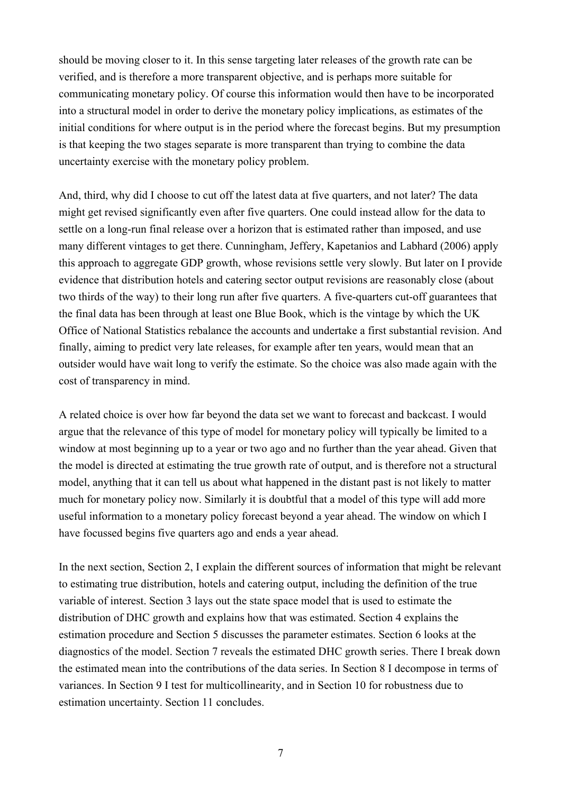should be moving closer to it. In this sense targeting later releases of the growth rate can be verified, and is therefore a more transparent objective, and is perhaps more suitable for communicating monetary policy. Of course this information would then have to be incorporated into a structural model in order to derive the monetary policy implications, as estimates of the initial conditions for where output is in the period where the forecast begins. But my presumption is that keeping the two stages separate is more transparent than trying to combine the data uncertainty exercise with the monetary policy problem.

And, third, why did I choose to cut off the latest data at five quarters, and not later? The data might get revised significantly even after five quarters. One could instead allow for the data to settle on a long-run final release over a horizon that is estimated rather than imposed, and use many different vintages to get there. Cunningham, Jeffery, Kapetanios and Labhard (2006) apply this approach to aggregate GDP growth, whose revisions settle very slowly. But later on I provide evidence that distribution hotels and catering sector output revisions are reasonably close (about two thirds of the way) to their long run after five quarters. A five-quarters cut-off guarantees that the final data has been through at least one Blue Book, which is the vintage by which the UK Office of National Statistics rebalance the accounts and undertake a first substantial revision. And finally, aiming to predict very late releases, for example after ten years, would mean that an outsider would have wait long to verify the estimate. So the choice was also made again with the cost of transparency in mind.

A related choice is over how far beyond the data set we want to forecast and backcast. I would argue that the relevance of this type of model for monetary policy will typically be limited to a window at most beginning up to a year or two ago and no further than the year ahead. Given that the model is directed at estimating the true growth rate of output, and is therefore not a structural model, anything that it can tell us about what happened in the distant past is not likely to matter much for monetary policy now. Similarly it is doubtful that a model of this type will add more useful information to a monetary policy forecast beyond a year ahead. The window on which I have focussed begins five quarters ago and ends a year ahead.

In the next section, Section 2, I explain the different sources of information that might be relevant to estimating true distribution, hotels and catering output, including the definition of the true variable of interest. Section 3 lays out the state space model that is used to estimate the distribution of DHC growth and explains how that was estimated. Section 4 explains the estimation procedure and Section 5 discusses the parameter estimates. Section 6 looks at the diagnostics of the model. Section 7 reveals the estimated DHC growth series. There I break down the estimated mean into the contributions of the data series. In Section 8 I decompose in terms of variances. In Section 9 I test for multicollinearity, and in Section 10 for robustness due to estimation uncertainty. Section 11 concludes.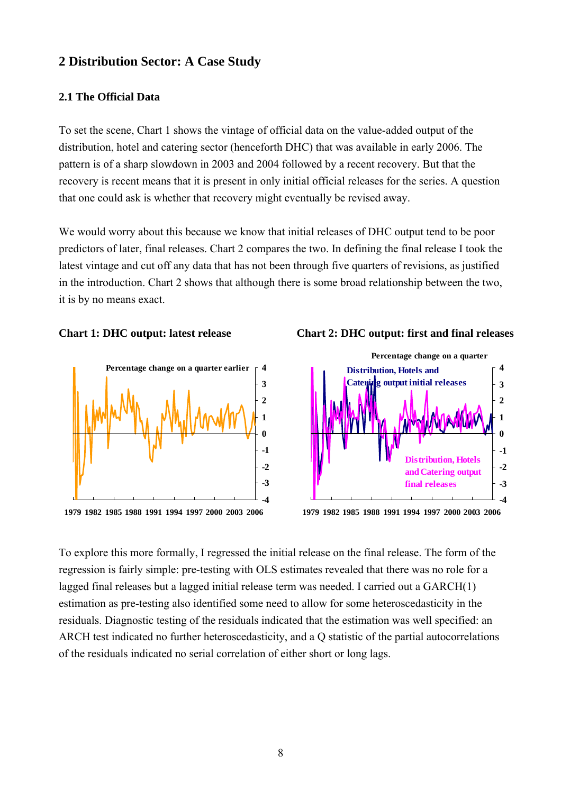## **2 Distribution Sector: A Case Study**

#### **2.1 The Official Data**

To set the scene, Chart 1 shows the vintage of official data on the value-added output of the distribution, hotel and catering sector (henceforth DHC) that was available in early 2006. The pattern is of a sharp slowdown in 2003 and 2004 followed by a recent recovery. But that the recovery is recent means that it is present in only initial official releases for the series. A question that one could ask is whether that recovery might eventually be revised away.

We would worry about this because we know that initial releases of DHC output tend to be poor predictors of later, final releases. Chart 2 compares the two. In defining the final release I took the latest vintage and cut off any data that has not been through five quarters of revisions, as justified in the introduction. Chart 2 shows that although there is some broad relationship between the two, it is by no means exact.



**1979 1982 1985 1988 1991 1994 1997 2000 2003 2006**





**1979 1982 1985 1988 1991 1994 1997 2000 2003 2006**

To explore this more formally, I regressed the initial release on the final release. The form of the regression is fairly simple: pre-testing with OLS estimates revealed that there was no role for a lagged final releases but a lagged initial release term was needed. I carried out a GARCH(1) estimation as pre-testing also identified some need to allow for some heteroscedasticity in the residuals. Diagnostic testing of the residuals indicated that the estimation was well specified: an ARCH test indicated no further heteroscedasticity, and a Q statistic of the partial autocorrelations of the residuals indicated no serial correlation of either short or long lags.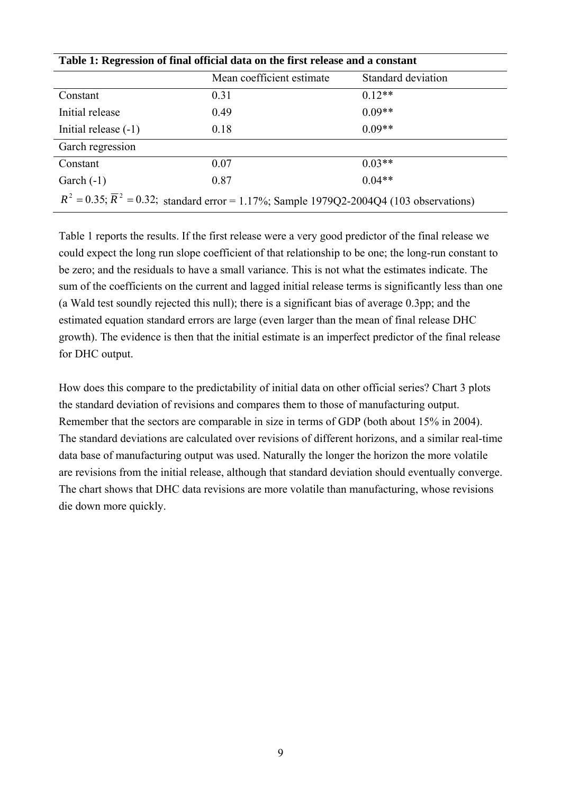|                        | Mean coefficient estimate                                                                                | Standard deviation |  |
|------------------------|----------------------------------------------------------------------------------------------------------|--------------------|--|
| Constant               | 0.31                                                                                                     | $0.12**$           |  |
| Initial release        | 0.49                                                                                                     | $0.09**$           |  |
| Initial release $(-1)$ | 0.18                                                                                                     | $0.09**$           |  |
| Garch regression       |                                                                                                          |                    |  |
| Constant               | 0.07                                                                                                     | $0.03**$           |  |
| Garch $(-1)$           | 0.87                                                                                                     | $0.04**$           |  |
|                        | $R^2 = 0.35$ ; $\overline{R}^2 = 0.32$ ; standard error = 1.17%; Sample 1979Q2-2004Q4 (103 observations) |                    |  |

Table 1 reports the results. If the first release were a very good predictor of the final release we could expect the long run slope coefficient of that relationship to be one; the long-run constant to be zero; and the residuals to have a small variance. This is not what the estimates indicate. The sum of the coefficients on the current and lagged initial release terms is significantly less than one (a Wald test soundly rejected this null); there is a significant bias of average 0.3pp; and the estimated equation standard errors are large (even larger than the mean of final release DHC growth). The evidence is then that the initial estimate is an imperfect predictor of the final release for DHC output.

How does this compare to the predictability of initial data on other official series? Chart 3 plots the standard deviation of revisions and compares them to those of manufacturing output. Remember that the sectors are comparable in size in terms of GDP (both about 15% in 2004). The standard deviations are calculated over revisions of different horizons, and a similar real-time data base of manufacturing output was used. Naturally the longer the horizon the more volatile are revisions from the initial release, although that standard deviation should eventually converge. The chart shows that DHC data revisions are more volatile than manufacturing, whose revisions die down more quickly.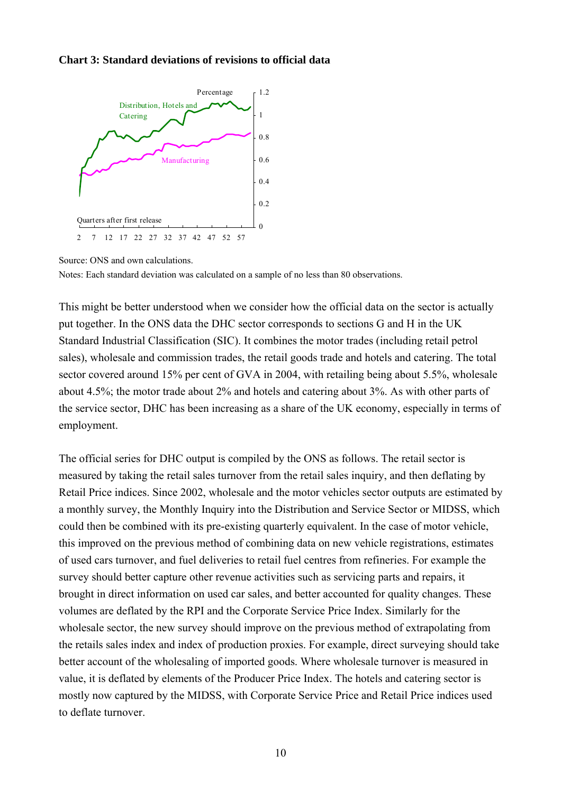#### **Chart 3: Standard deviations of revisions to official data**



Source: ONS and own calculations.

Notes: Each standard deviation was calculated on a sample of no less than 80 observations.

This might be better understood when we consider how the official data on the sector is actually put together. In the ONS data the DHC sector corresponds to sections G and H in the UK Standard Industrial Classification (SIC). It combines the motor trades (including retail petrol sales), wholesale and commission trades, the retail goods trade and hotels and catering. The total sector covered around 15% per cent of GVA in 2004, with retailing being about 5.5%, wholesale about 4.5%; the motor trade about 2% and hotels and catering about 3%. As with other parts of the service sector, DHC has been increasing as a share of the UK economy, especially in terms of employment.

The official series for DHC output is compiled by the ONS as follows. The retail sector is measured by taking the retail sales turnover from the retail sales inquiry, and then deflating by Retail Price indices. Since 2002, wholesale and the motor vehicles sector outputs are estimated by a monthly survey, the Monthly Inquiry into the Distribution and Service Sector or MIDSS, which could then be combined with its pre-existing quarterly equivalent. In the case of motor vehicle, this improved on the previous method of combining data on new vehicle registrations, estimates of used cars turnover, and fuel deliveries to retail fuel centres from refineries. For example the survey should better capture other revenue activities such as servicing parts and repairs, it brought in direct information on used car sales, and better accounted for quality changes. These volumes are deflated by the RPI and the Corporate Service Price Index. Similarly for the wholesale sector, the new survey should improve on the previous method of extrapolating from the retails sales index and index of production proxies. For example, direct surveying should take better account of the wholesaling of imported goods. Where wholesale turnover is measured in value, it is deflated by elements of the Producer Price Index. The hotels and catering sector is mostly now captured by the MIDSS, with Corporate Service Price and Retail Price indices used to deflate turnover.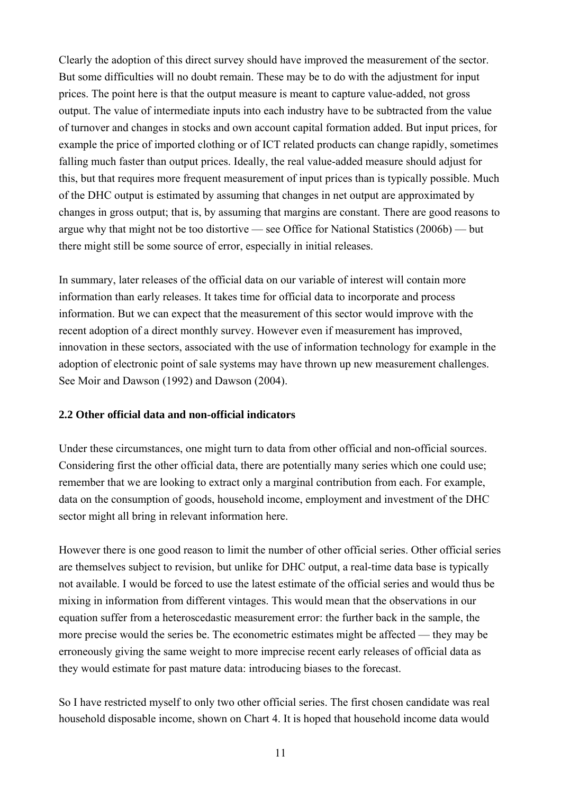Clearly the adoption of this direct survey should have improved the measurement of the sector. But some difficulties will no doubt remain. These may be to do with the adjustment for input prices. The point here is that the output measure is meant to capture value-added, not gross output. The value of intermediate inputs into each industry have to be subtracted from the value of turnover and changes in stocks and own account capital formation added. But input prices, for example the price of imported clothing or of ICT related products can change rapidly, sometimes falling much faster than output prices. Ideally, the real value-added measure should adjust for this, but that requires more frequent measurement of input prices than is typically possible. Much of the DHC output is estimated by assuming that changes in net output are approximated by changes in gross output; that is, by assuming that margins are constant. There are good reasons to argue why that might not be too distortive — see Office for National Statistics (2006b) — but there might still be some source of error, especially in initial releases.

In summary, later releases of the official data on our variable of interest will contain more information than early releases. It takes time for official data to incorporate and process information. But we can expect that the measurement of this sector would improve with the recent adoption of a direct monthly survey. However even if measurement has improved, innovation in these sectors, associated with the use of information technology for example in the adoption of electronic point of sale systems may have thrown up new measurement challenges. See Moir and Dawson (1992) and Dawson (2004).

#### **2.2 Other official data and non-official indicators**

Under these circumstances, one might turn to data from other official and non-official sources. Considering first the other official data, there are potentially many series which one could use; remember that we are looking to extract only a marginal contribution from each. For example, data on the consumption of goods, household income, employment and investment of the DHC sector might all bring in relevant information here.

However there is one good reason to limit the number of other official series. Other official series are themselves subject to revision, but unlike for DHC output, a real-time data base is typically not available. I would be forced to use the latest estimate of the official series and would thus be mixing in information from different vintages. This would mean that the observations in our equation suffer from a heteroscedastic measurement error: the further back in the sample, the more precise would the series be. The econometric estimates might be affected — they may be erroneously giving the same weight to more imprecise recent early releases of official data as they would estimate for past mature data: introducing biases to the forecast.

So I have restricted myself to only two other official series. The first chosen candidate was real household disposable income, shown on Chart 4. It is hoped that household income data would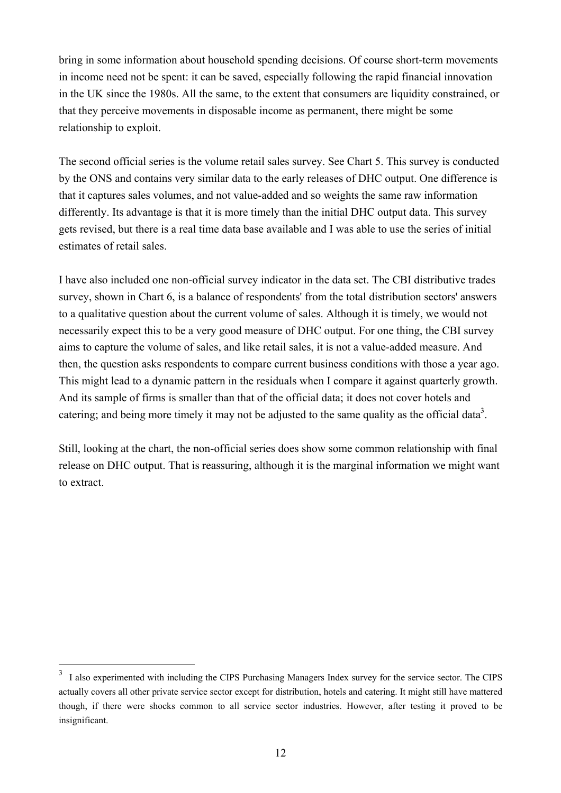bring in some information about household spending decisions. Of course short-term movements in income need not be spent: it can be saved, especially following the rapid financial innovation in the UK since the 1980s. All the same, to the extent that consumers are liquidity constrained, or that they perceive movements in disposable income as permanent, there might be some relationship to exploit.

The second official series is the volume retail sales survey. See Chart 5. This survey is conducted by the ONS and contains very similar data to the early releases of DHC output. One difference is that it captures sales volumes, and not value-added and so weights the same raw information differently. Its advantage is that it is more timely than the initial DHC output data. This survey gets revised, but there is a real time data base available and I was able to use the series of initial estimates of retail sales.

I have also included one non-official survey indicator in the data set. The CBI distributive trades survey, shown in Chart 6, is a balance of respondents' from the total distribution sectors' answers to a qualitative question about the current volume of sales. Although it is timely, we would not necessarily expect this to be a very good measure of DHC output. For one thing, the CBI survey aims to capture the volume of sales, and like retail sales, it is not a value-added measure. And then, the question asks respondents to compare current business conditions with those a year ago. This might lead to a dynamic pattern in the residuals when I compare it against quarterly growth. And its sample of firms is smaller than that of the official data; it does not cover hotels and catering; and being more timely it may not be adjusted to the same quality as the official data<sup>3</sup>.

Still, looking at the chart, the non-official series does show some common relationship with final release on DHC output. That is reassuring, although it is the marginal information we might want to extract.

 $\overline{a}$ 

<sup>3</sup> I also experimented with including the CIPS Purchasing Managers Index survey for the service sector. The CIPS actually covers all other private service sector except for distribution, hotels and catering. It might still have mattered though, if there were shocks common to all service sector industries. However, after testing it proved to be insignificant.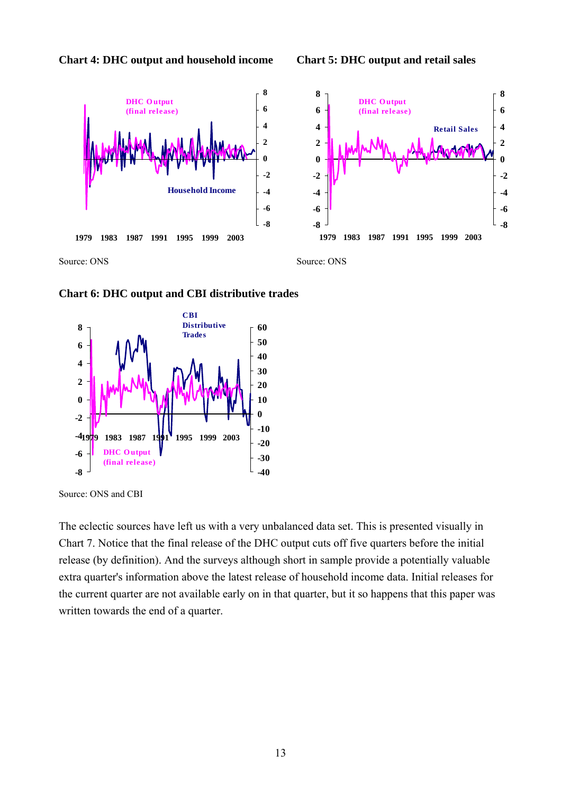







Source: ONS and CBI

The eclectic sources have left us with a very unbalanced data set. This is presented visually in Chart 7. Notice that the final release of the DHC output cuts off five quarters before the initial release (by definition). And the surveys although short in sample provide a potentially valuable extra quarter's information above the latest release of household income data. Initial releases for the current quarter are not available early on in that quarter, but it so happens that this paper was written towards the end of a quarter.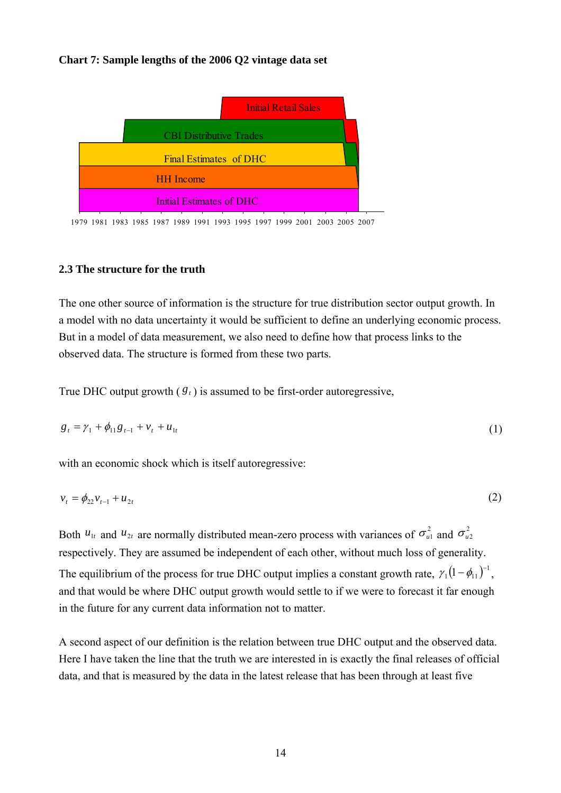#### **Chart 7: Sample lengths of the 2006 Q2 vintage data set**



1979 1981 1983 1985 1987 1989 1991 1993 1995 1997 1999 2001 2003 2005 2007

#### **2.3 The structure for the truth**

The one other source of information is the structure for true distribution sector output growth. In a model with no data uncertainty it would be sufficient to define an underlying economic process. But in a model of data measurement, we also need to define how that process links to the observed data. The structure is formed from these two parts.

True DHC output growth  $(\mathcal{S}_t)$  is assumed to be first-order autoregressive,

$$
g_t = \gamma_1 + \phi_{11} g_{t-1} + v_t + u_{1t} \tag{1}
$$

with an economic shock which is itself autoregressive:

$$
v_t = \phi_{22} v_{t-1} + u_{2t} \tag{2}
$$

Both  $u_{1t}$  and  $u_{2t}$  are normally distributed mean-zero process with variances of  $\sigma_{u1}^2$  and  $\sigma_{u2}^2$ respectively. They are assumed be independent of each other, without much loss of generality. The equilibrium of the process for true DHC output implies a constant growth rate,  $\gamma_1 (1 - \phi_{11})^{-1}$ , and that would be where DHC output growth would settle to if we were to forecast it far enough in the future for any current data information not to matter.

A second aspect of our definition is the relation between true DHC output and the observed data. Here I have taken the line that the truth we are interested in is exactly the final releases of official data, and that is measured by the data in the latest release that has been through at least five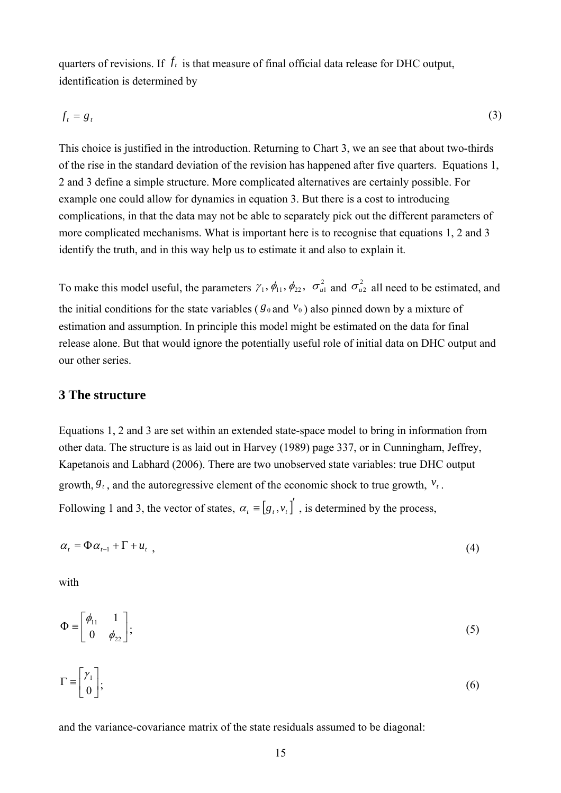quarters of revisions. If  $f_t$  is that measure of final official data release for DHC output, identification is determined by

$$
f_t = g_t \tag{3}
$$

This choice is justified in the introduction. Returning to Chart 3, we an see that about two-thirds of the rise in the standard deviation of the revision has happened after five quarters. Equations 1, 2 and 3 define a simple structure. More complicated alternatives are certainly possible. For example one could allow for dynamics in equation 3. But there is a cost to introducing complications, in that the data may not be able to separately pick out the different parameters of more complicated mechanisms. What is important here is to recognise that equations 1, 2 and 3 identify the truth, and in this way help us to estimate it and also to explain it.

To make this model useful, the parameters  $\gamma_1$ ,  $\phi_{11}$ ,  $\phi_{22}$ ,  $\sigma_{u1}^2$  and  $\sigma_{u2}^2$  all need to be estimated, and the initial conditions for the state variables ( $g_0$  and  $v_0$ ) also pinned down by a mixture of estimation and assumption. In principle this model might be estimated on the data for final release alone. But that would ignore the potentially useful role of initial data on DHC output and our other series.

#### **3 The structure**

Equations 1, 2 and 3 are set within an extended state-space model to bring in information from other data. The structure is as laid out in Harvey (1989) page 337, or in Cunningham, Jeffrey, Kapetanois and Labhard (2006). There are two unobserved state variables: true DHC output growth,  $g_t$ , and the autoregressive element of the economic shock to true growth,  $v_t$ . Following 1 and 3, the vector of states,  $\alpha_t = [g_t, v_t]$ , is determined by the process,

$$
\alpha_t = \Phi \alpha_{t-1} + \Gamma + u_{t} \tag{4}
$$

with

$$
\Phi \equiv \begin{bmatrix} \phi_{11} & 1 \\ 0 & \phi_{22} \end{bmatrix};\tag{5}
$$

$$
\Gamma \equiv \begin{bmatrix} \gamma_1 \\ 0 \end{bmatrix};\tag{6}
$$

and the variance-covariance matrix of the state residuals assumed to be diagonal: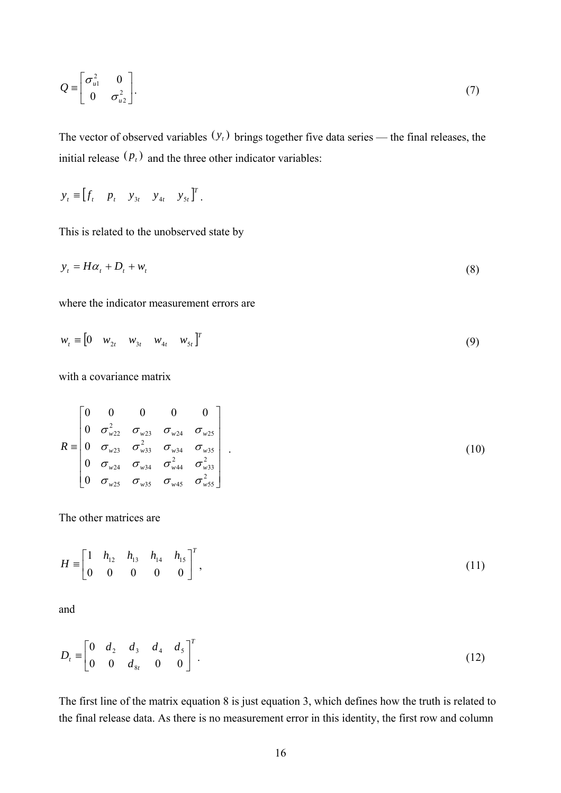$$
Q = \begin{bmatrix} \sigma_{u1}^2 & 0 \\ 0 & \sigma_{u2}^2 \end{bmatrix} . \tag{7}
$$

The vector of observed variables  $(y_t)$  brings together five data series — the final releases, the initial release  $(p_t)$  and the three other indicator variables:

$$
\mathbf{y}_t \equiv \begin{bmatrix} f_t & p_t & y_{3t} & y_{4t} & y_{5t} \end{bmatrix}^T.
$$

This is related to the unobserved state by

$$
y_t = H\alpha_t + D_t + w_t \tag{8}
$$

where the indicator measurement errors are

$$
w_{t} \equiv \begin{bmatrix} 0 & w_{2t} & w_{3t} & w_{4t} & w_{5t} \end{bmatrix}^{T}
$$
 (9)

with a covariance matrix

$$
R = \begin{bmatrix} 0 & 0 & 0 & 0 & 0 \\ 0 & \sigma_{w22}^2 & \sigma_{w23} & \sigma_{w24} & \sigma_{w25} \\ 0 & \sigma_{w23} & \sigma_{w33}^2 & \sigma_{w34} & \sigma_{w35} \\ 0 & \sigma_{w24} & \sigma_{w34} & \sigma_{w44}^2 & \sigma_{w33}^2 \\ 0 & \sigma_{w25} & \sigma_{w35} & \sigma_{w45} & \sigma_{w55}^2 \end{bmatrix} .
$$
 (10)

The other matrices are

$$
H \equiv \begin{bmatrix} 1 & h_{12} & h_{13} & h_{14} & h_{15} \\ 0 & 0 & 0 & 0 & 0 \end{bmatrix}^T,
$$
 (11)

and

$$
D_t \equiv \begin{bmatrix} 0 & d_2 & d_3 & d_4 & d_5 \\ 0 & 0 & d_{8t} & 0 & 0 \end{bmatrix}^T.
$$
 (12)

The first line of the matrix equation 8 is just equation 3, which defines how the truth is related to the final release data. As there is no measurement error in this identity, the first row and column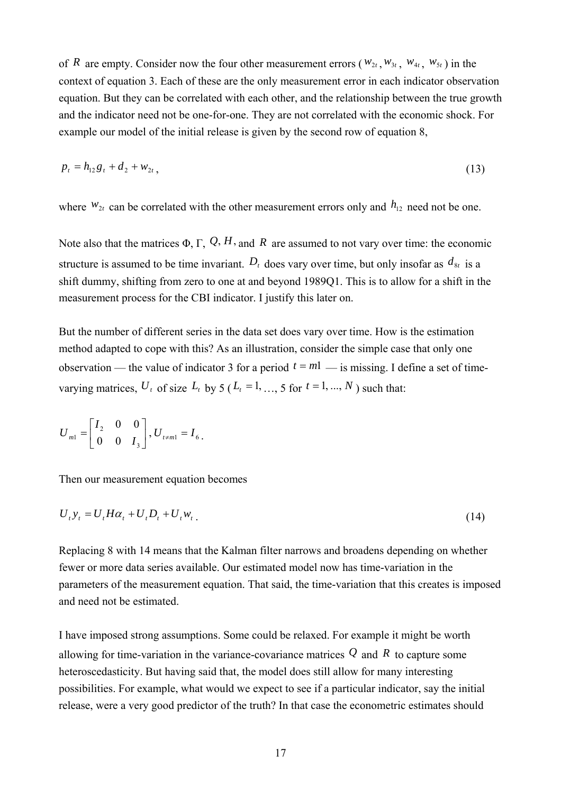of *R* are empty. Consider now the four other measurement errors ( $w_{2t}$ ,  $w_{3t}$ ,  $w_{4t}$ ,  $w_{5t}$ ) in the context of equation 3. Each of these are the only measurement error in each indicator observation equation. But they can be correlated with each other, and the relationship between the true growth and the indicator need not be one-for-one. They are not correlated with the economic shock. For example our model of the initial release is given by the second row of equation 8,

$$
p_t = h_{12}g_t + d_2 + w_{2t}, \tag{13}
$$

where  $W_{2t}$  can be correlated with the other measurement errors only and  $h_{12}$  need not be one.

Note also that the matrices  $\Phi$ ,  $\Gamma$ ,  $\mathcal{Q}$ ,  $H$ , and  $R$  are assumed to not vary over time: the economic structure is assumed to be time invariant.  $D_t$  does vary over time, but only insofar as  $d_{8t}$  is a shift dummy, shifting from zero to one at and beyond 1989Q1. This is to allow for a shift in the measurement process for the CBI indicator. I justify this later on.

But the number of different series in the data set does vary over time. How is the estimation method adapted to cope with this? As an illustration, consider the simple case that only one observation — the value of indicator 3 for a period  $t = m_1$  — is missing. I define a set of timevarying matrices,  $U_t$  of size  $L_t$  by 5 ( $L_t = 1, ..., 5$  for  $t = 1, ..., N$ ) such that:

$$
U_{m1} = \begin{bmatrix} I_2 & 0 & 0 \\ 0 & 0 & I_3 \end{bmatrix}, U_{t \neq m1} = I_6.
$$

Then our measurement equation becomes

$$
U_t y_t = U_t H \alpha_t + U_t D_t + U_t w_t \tag{14}
$$

Replacing 8 with 14 means that the Kalman filter narrows and broadens depending on whether fewer or more data series available. Our estimated model now has time-variation in the parameters of the measurement equation. That said, the time-variation that this creates is imposed and need not be estimated.

I have imposed strong assumptions. Some could be relaxed. For example it might be worth allowing for time-variation in the variance-covariance matrices *Q* and *R* to capture some heteroscedasticity. But having said that, the model does still allow for many interesting possibilities. For example, what would we expect to see if a particular indicator, say the initial release, were a very good predictor of the truth? In that case the econometric estimates should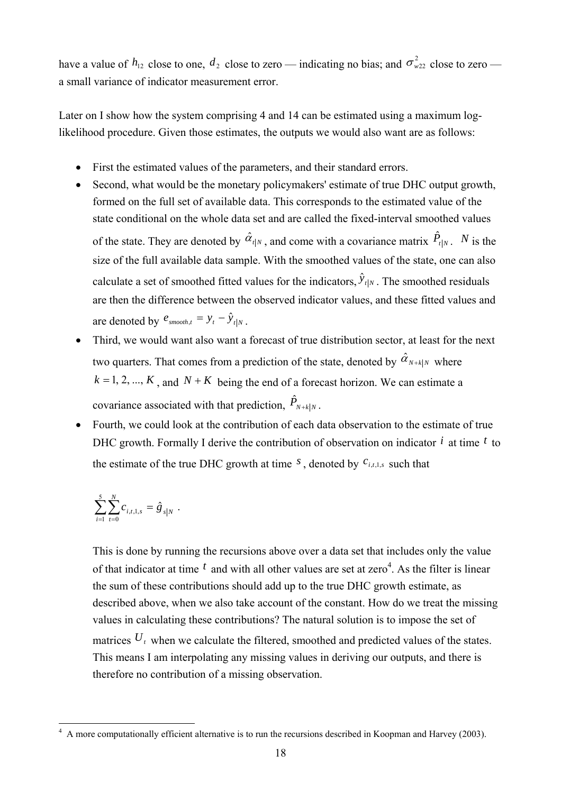have a value of  $h_{12}$  close to one,  $d_2$  close to zero — indicating no bias; and  $\sigma_{w22}^2$  close to zero a small variance of indicator measurement error.

Later on I show how the system comprising 4 and 14 can be estimated using a maximum loglikelihood procedure. Given those estimates, the outputs we would also want are as follows:

- First the estimated values of the parameters, and their standard errors.
- Second, what would be the monetary policymakers' estimate of true DHC output growth, formed on the full set of available data. This corresponds to the estimated value of the state conditional on the whole data set and are called the fixed-interval smoothed values of the state. They are denoted by  $\hat{\alpha}_{t|N}$ , and come with a covariance matrix  $\hat{P}_{t|N}$ . *N* is the size of the full available data sample. With the smoothed values of the state, one can also calculate a set of smoothed fitted values for the indicators,  $\hat{y}_{t|N}$ . The smoothed residuals are then the difference between the observed indicator values, and these fitted values and are denoted by  $e_{\textit{smooth},t} = y_t - \hat{y}_{t|N}$
- Third, we would want also want a forecast of true distribution sector, at least for the next two quarters. That comes from a prediction of the state, denoted by  $\hat{\alpha}_{N+k|N}$  where  $k = 1, 2, ..., K$ , and  $N + K$  being the end of a forecast horizon. We can estimate a covariance associated with that prediction,  $\hat{P}_{N+k|N}$ .
- Fourth, we could look at the contribution of each data observation to the estimate of true DHC growth. Formally I derive the contribution of observation on indicator *i* at time *t* to the estimate of the true DHC growth at time  $S$ , denoted by  $C_{i,t,1,s}$  such that

$$
\sum_{i=1}^5 \sum_{t=0}^N c_{i,t,1,s} = \hat g_{s|N} \ .
$$

This is done by running the recursions above over a data set that includes only the value of that indicator at time  $<sup>t</sup>$  and with all other values are set at zero<sup>4</sup>. As the filter is linear</sup> the sum of these contributions should add up to the true DHC growth estimate, as described above, when we also take account of the constant. How do we treat the missing values in calculating these contributions? The natural solution is to impose the set of matrices  $U_t$  when we calculate the filtered, smoothed and predicted values of the states. This means I am interpolating any missing values in deriving our outputs, and there is therefore no contribution of a missing observation.

<sup>&</sup>lt;sup>4</sup> A more computationally efficient alternative is to run the recursions described in Koopman and Harvey (2003).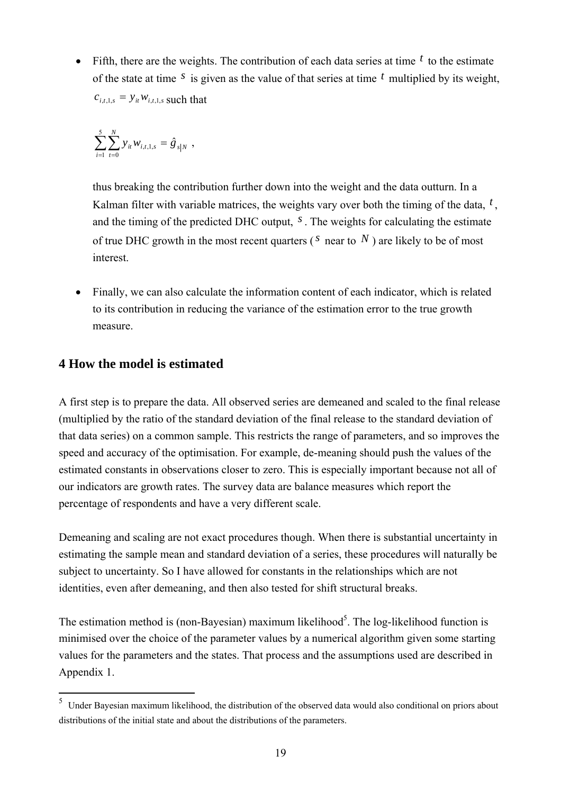• Fifth, there are the weights. The contribution of each data series at time  $<sup>t</sup>$  to the estimate</sup> of the state at time *s* is given as the value of that series at time *t* multiplied by its weight,  $c_{i,t,1,s} = y_{it} w_{i,t,1,s}$  such that

$$
\sum_{i=1}^5 \sum_{t=0}^N y_{it} w_{i,t,1,s} = \hat{g}_{s|N} \ ,
$$

thus breaking the contribution further down into the weight and the data outturn. In a Kalman filter with variable matrices, the weights vary over both the timing of the data, *t* , and the timing of the predicted DHC output, *s* . The weights for calculating the estimate of true DHC growth in the most recent quarters ( $^S$  near to  $^N$ ) are likely to be of most interest.

• Finally, we can also calculate the information content of each indicator, which is related to its contribution in reducing the variance of the estimation error to the true growth measure.

## **4 How the model is estimated**

A first step is to prepare the data. All observed series are demeaned and scaled to the final release (multiplied by the ratio of the standard deviation of the final release to the standard deviation of that data series) on a common sample. This restricts the range of parameters, and so improves the speed and accuracy of the optimisation. For example, de-meaning should push the values of the estimated constants in observations closer to zero. This is especially important because not all of our indicators are growth rates. The survey data are balance measures which report the percentage of respondents and have a very different scale.

Demeaning and scaling are not exact procedures though. When there is substantial uncertainty in estimating the sample mean and standard deviation of a series, these procedures will naturally be subject to uncertainty. So I have allowed for constants in the relationships which are not identities, even after demeaning, and then also tested for shift structural breaks.

The estimation method is (non-Bayesian) maximum likelihood<sup>5</sup>. The log-likelihood function is minimised over the choice of the parameter values by a numerical algorithm given some starting values for the parameters and the states. That process and the assumptions used are described in Appendix 1.

 5 Under Bayesian maximum likelihood, the distribution of the observed data would also conditional on priors about distributions of the initial state and about the distributions of the parameters.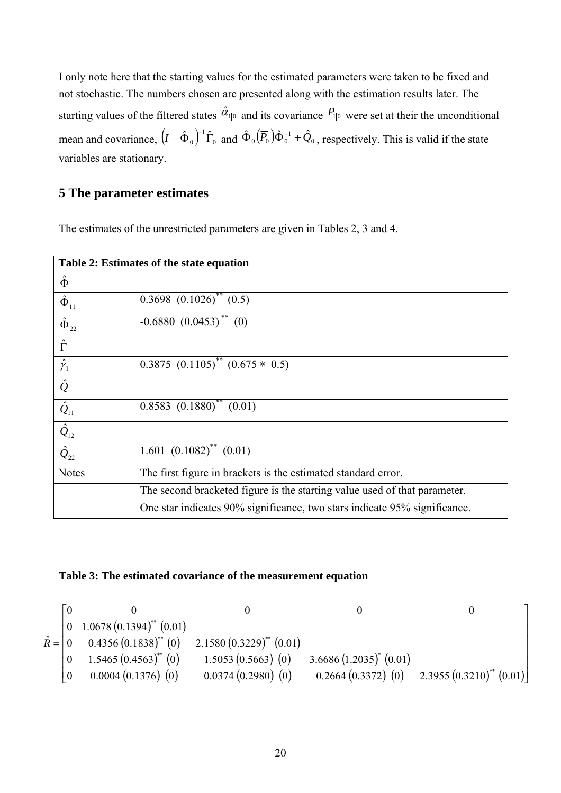I only note here that the starting values for the estimated parameters were taken to be fixed and not stochastic. The numbers chosen are presented along with the estimation results later. The starting values of the filtered states  $\hat{\alpha}_{\parallel 0}$  and its covariance  $P_{\parallel 0}$  were set at their the unconditional mean and covariance,  $(I - \hat{\Phi}_0)^{-1} \hat{\Gamma}_0$  and  $\hat{\Phi}_0 (\overline{P}_0) \hat{\Phi}_0^{-1} + \hat{Q}_0$ , respectively. This is valid if the state variables are stationary.

## **5 The parameter estimates**

The estimates of the unrestricted parameters are given in Tables 2, 3 and 4.

| Table 2: Estimates of the state equation          |                                                                           |  |  |  |
|---------------------------------------------------|---------------------------------------------------------------------------|--|--|--|
| $\hat{\Phi}$                                      |                                                                           |  |  |  |
| $\hat{\Phi}_{11}$                                 | $0.3698$ $(0.1026)^{**}$ $(0.5)$                                          |  |  |  |
| $\hat{\Phi}_{22}$                                 | $-0.6880(0.0453)$ <sup>**</sup> (0)                                       |  |  |  |
| $\hat{\Gamma}$                                    |                                                                           |  |  |  |
| $\hat{\gamma}_1$                                  | $0.3875$ $(0.1105)^{**}$ $(0.675 * 0.5)$                                  |  |  |  |
| $\hat{\mathcal{Q}}$                               |                                                                           |  |  |  |
| $\hat{\mathcal{Q}}_{11}$                          | $0.8583 (0.1880)^{**} (0.01)$                                             |  |  |  |
| $\hat{Q}_{\scriptscriptstyle{12}}$                |                                                                           |  |  |  |
| $\overline{\hat{\cal Q}_{\scriptscriptstyle 22}}$ | $1.601$ $(0.1082)^{**}$ $(0.01)$                                          |  |  |  |
| <b>Notes</b>                                      | The first figure in brackets is the estimated standard error.             |  |  |  |
|                                                   | The second bracketed figure is the starting value used of that parameter. |  |  |  |
|                                                   | One star indicates 90% significance, two stars indicate 95% significance. |  |  |  |

#### **Table 3: The estimated covariance of the measurement equation**

$$
\hat{R} = \begin{bmatrix}\n0 & 0 & 0 & 0 & 0 \\
0 & 1.0678 (0.1394)^{**} (0.01) & & & & \\
0 & 0.4356 (0.1838)^{**} (0) & 2.1580 (0.3229)^{**} (0.01) & & & \\
0 & 1.5465 (0.4563)^{**} (0) & 1.5053 (0.5663) (0) & 3.6686 (1.2035)^{*} (0.01) & & \\
0 & 0.0004 (0.1376) (0) & 0.0374 (0.2980) (0) & 0.2664 (0.3372) (0) & 2.3955 (0.3210)^{*} (0.01)\n\end{bmatrix}
$$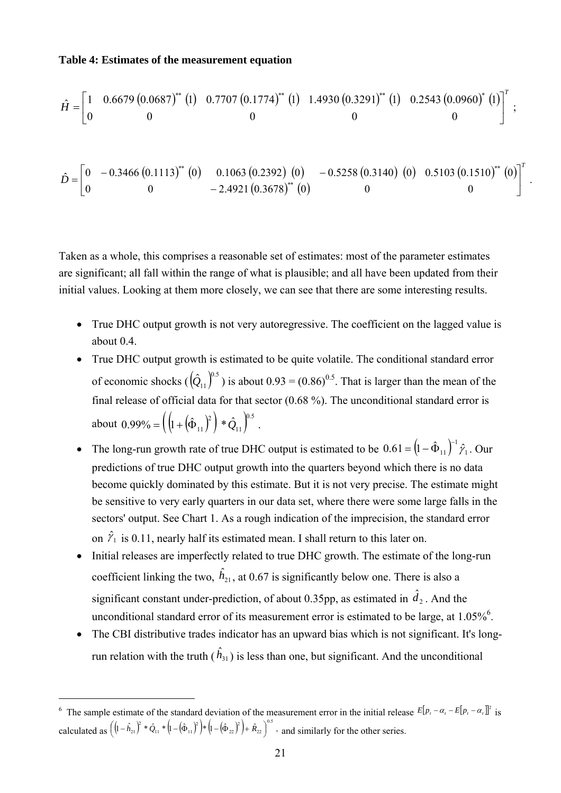#### **Table 4: Estimates of the measurement equation**

$$
\hat{H} = \begin{bmatrix} 1 & 0.6679 (0.0687)^{**} (1) & 0.7707 (0.1774)^{**} (1) & 1.4930 (0.3291)^{**} (1) & 0.2543 (0.0960)^{*} (1) \end{bmatrix}^{T};
$$
\n
$$
\hat{D} = \begin{bmatrix} 0 & -0.3466 (0.1113)^{**} (0) & 0.1063 (0.2392) (0) & -0.5258 (0.3140) (0) & 0.5103 (0.1510)^{**} (0) \end{bmatrix}^{T}.
$$

Taken as a whole, this comprises a reasonable set of estimates: most of the parameter estimates are significant; all fall within the range of what is plausible; and all have been updated from their initial values. Looking at them more closely, we can see that there are some interesting results.

- True DHC output growth is not very autoregressive. The coefficient on the lagged value is about 0.4.
- True DHC output growth is estimated to be quite volatile. The conditional standard error of economic shocks  $(\hat{Q}_{11})^{0.5}$  is about 0.93 = (0.86)<sup>0.5</sup>. That is larger than the mean of the final release of official data for that sector (0.68 %). The unconditional standard error is about  $0.99\% = \left( \left( 1 + (\hat{\Phi}_{11})^2 \right) * \hat{Q}_{11} \right)^{0.5}$ . 11  $=\left(\left(1+\left(\hat{\Phi}_{11}\right)^2\right)*\hat{Q}\right)$
- The long-run growth rate of true DHC output is estimated to be  $0.61 = (1 \hat{\Phi}_{11})^{-1} \hat{y}_1$ . Our predictions of true DHC output growth into the quarters beyond which there is no data become quickly dominated by this estimate. But it is not very precise. The estimate might be sensitive to very early quarters in our data set, where there were some large falls in the sectors' output. See Chart 1. As a rough indication of the imprecision, the standard error on  $\hat{\gamma}_1$  is 0.11, nearly half its estimated mean. I shall return to this later on.
- Initial releases are imperfectly related to true DHC growth. The estimate of the long-run coefficient linking the two,  $\hat{h}_{21}$ , at 0.67 is significantly below one. There is also a significant constant under-prediction, of about 0.35pp, as estimated in  $\hat{d}_2$ . And the unconditional standard error of its measurement error is estimated to be large, at  $1.05\%$ <sup>6</sup>.
- The CBI distributive trades indicator has an upward bias which is not significant. It's longrun relation with the truth  $(\hat{h}_{31})$  is less than one, but significant. And the unconditional

 $\overline{a}$ 

<sup>&</sup>lt;sup>6</sup> The sample estimate of the standard deviation of the measurement error in the initial release  $E[p_i - \alpha_i - E[p_i - \alpha_i]]^2$  is calculated as  $\left( (1 - \hat{h}_{21})^2 * \hat{Q}_{11} * (1 - (\hat{\Phi}_{11})^2) * (1 - (\hat{\Phi}_{22})^2) + \hat{R}_{22} \right)^{0.5}$ , 22 2 22 2  $11 \quad 1 \quad 1 \quad 1$  $((1 - \hat{h}_{21})^2 * \hat{Q}_{11} * (1 - (\hat{\Phi}_{11})^2) * (1 - (\hat{\Phi}_{22})^2) + \hat{R}_{22})^3$ , and similarly for the other series.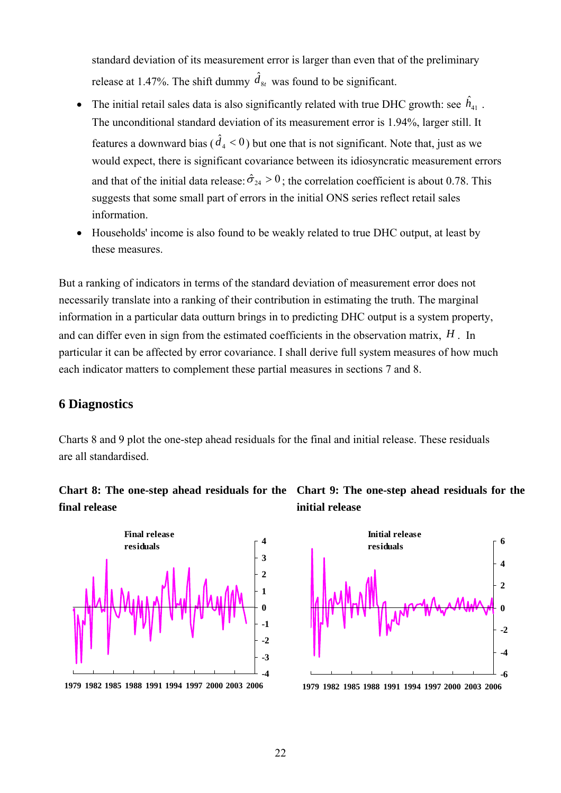standard deviation of its measurement error is larger than even that of the preliminary release at 1.47%. The shift dummy  $\hat{d}_{8t}$  was found to be significant.

- The initial retail sales data is also significantly related with true DHC growth: see  $\hat{h}_{41}$ . The unconditional standard deviation of its measurement error is 1.94%, larger still. It features a downward bias  $(\hat{d}_4 < 0)$  but one that is not significant. Note that, just as we would expect, there is significant covariance between its idiosyncratic measurement errors and that of the initial data release:  $\hat{\sigma}_{24} > 0$ ; the correlation coefficient is about 0.78. This suggests that some small part of errors in the initial ONS series reflect retail sales information.
- Households' income is also found to be weakly related to true DHC output, at least by these measures.

But a ranking of indicators in terms of the standard deviation of measurement error does not necessarily translate into a ranking of their contribution in estimating the truth. The marginal information in a particular data outturn brings in to predicting DHC output is a system property, and can differ even in sign from the estimated coefficients in the observation matrix, *H* . In particular it can be affected by error covariance. I shall derive full system measures of how much each indicator matters to complement these partial measures in sections 7 and 8.

#### **6 Diagnostics**

Charts 8 and 9 plot the one-step ahead residuals for the final and initial release. These residuals are all standardised.

# **final release**



**1979 1982 1985 1988 1991 1994 1997 2000 2003 2006**



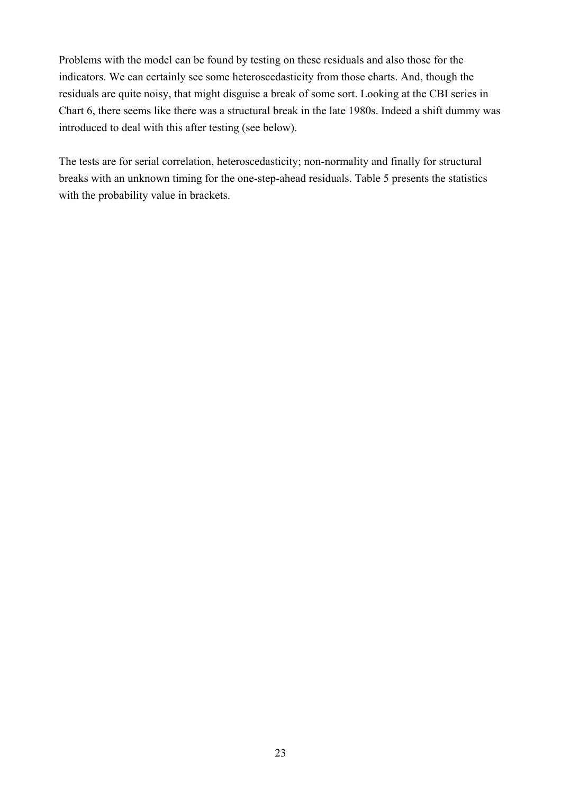Problems with the model can be found by testing on these residuals and also those for the indicators. We can certainly see some heteroscedasticity from those charts. And, though the residuals are quite noisy, that might disguise a break of some sort. Looking at the CBI series in Chart 6, there seems like there was a structural break in the late 1980s. Indeed a shift dummy was introduced to deal with this after testing (see below).

The tests are for serial correlation, heteroscedasticity; non-normality and finally for structural breaks with an unknown timing for the one-step-ahead residuals. Table 5 presents the statistics with the probability value in brackets.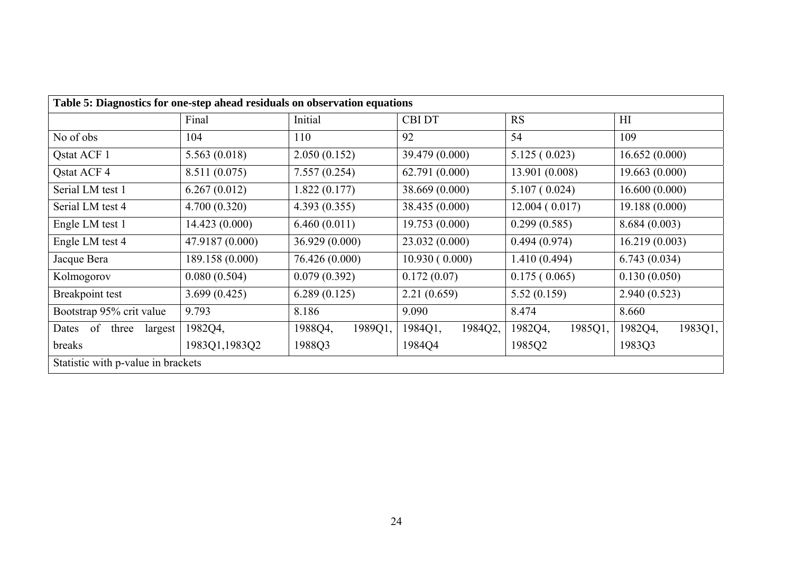| Table 5: Diagnostics for one-step ahead residuals on observation equations |                 |                    |                    |                    |                    |
|----------------------------------------------------------------------------|-----------------|--------------------|--------------------|--------------------|--------------------|
|                                                                            | Final           | Initial            | <b>CBI DT</b>      | <b>RS</b>          | H <sub>I</sub>     |
| No of obs                                                                  | 104             | 110                | 92                 | 54                 | 109                |
| Qstat ACF 1                                                                | 5.563(0.018)    | 2.050(0.152)       | 39.479 (0.000)     | 5.125(0.023)       | 16.652(0.000)      |
| Qstat ACF 4                                                                | 8.511 (0.075)   | 7.557(0.254)       | 62.791(0.000)      | 13.901 (0.008)     | 19.663(0.000)      |
| Serial LM test 1                                                           | 6.267(0.012)    | 1.822(0.177)       | 38.669 (0.000)     | 5.107(0.024)       | 16.600(0.000)      |
| Serial LM test 4                                                           | 4.700(0.320)    | 4.393(0.355)       | 38.435 (0.000)     | 12.004(0.017)      | 19.188 (0.000)     |
| Engle LM test 1                                                            | 14.423(0.000)   | 6.460(0.011)       | 19.753(0.000)      | 0.299(0.585)       | 8.684(0.003)       |
| Engle LM test 4                                                            | 47.9187 (0.000) | 36.929(0.000)      | 23.032(0.000)      | 0.494(0.974)       | 16.219(0.003)      |
| Jacque Bera                                                                | 189.158 (0.000) | 76.426 (0.000)     | 10.930(0.000)      | 1.410(0.494)       | 6.743(0.034)       |
| Kolmogorov                                                                 | 0.080(0.504)    | 0.079(0.392)       | 0.172(0.07)        | 0.175(0.065)       | 0.130(0.050)       |
| Breakpoint test                                                            | 3.699(0.425)    | 6.289(0.125)       | 2.21(0.659)        | 5.52(0.159)        | 2.940(0.523)       |
| Bootstrap 95% crit value                                                   | 9.793           | 8.186              | 9.090              | 8.474              | 8.660              |
| Dates of three<br>largest                                                  | 1982Q4,         | 1988Q4,<br>1989Q1, | 1984Q1,<br>1984Q2, | 1982Q4,<br>1985Q1, | 1982Q4,<br>1983Q1, |
| breaks                                                                     | 1983Q1,1983Q2   | 1988Q3             | 1984Q4             | 1985Q2             | 1983Q3             |
| Statistic with p-value in brackets                                         |                 |                    |                    |                    |                    |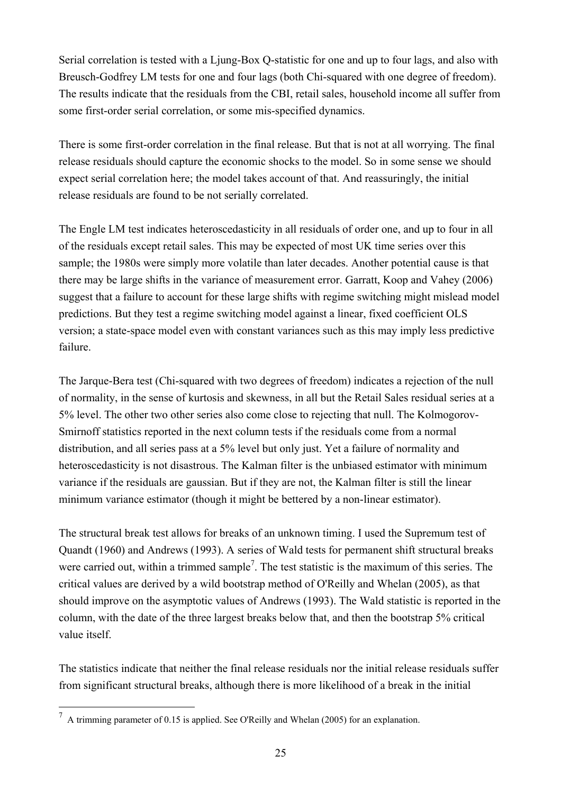Serial correlation is tested with a Liung-Box O-statistic for one and up to four lags, and also with Breusch-Godfrey LM tests for one and four lags (both Chi-squared with one degree of freedom). The results indicate that the residuals from the CBI, retail sales, household income all suffer from some first-order serial correlation, or some mis-specified dynamics.

There is some first-order correlation in the final release. But that is not at all worrying. The final release residuals should capture the economic shocks to the model. So in some sense we should expect serial correlation here; the model takes account of that. And reassuringly, the initial release residuals are found to be not serially correlated.

The Engle LM test indicates heteroscedasticity in all residuals of order one, and up to four in all of the residuals except retail sales. This may be expected of most UK time series over this sample; the 1980s were simply more volatile than later decades. Another potential cause is that there may be large shifts in the variance of measurement error. Garratt, Koop and Vahey (2006) suggest that a failure to account for these large shifts with regime switching might mislead model predictions. But they test a regime switching model against a linear, fixed coefficient OLS version; a state-space model even with constant variances such as this may imply less predictive failure.

The Jarque-Bera test (Chi-squared with two degrees of freedom) indicates a rejection of the null of normality, in the sense of kurtosis and skewness, in all but the Retail Sales residual series at a 5% level. The other two other series also come close to rejecting that null. The Kolmogorov-Smirnoff statistics reported in the next column tests if the residuals come from a normal distribution, and all series pass at a 5% level but only just. Yet a failure of normality and heteroscedasticity is not disastrous. The Kalman filter is the unbiased estimator with minimum variance if the residuals are gaussian. But if they are not, the Kalman filter is still the linear minimum variance estimator (though it might be bettered by a non-linear estimator).

The structural break test allows for breaks of an unknown timing. I used the Supremum test of Quandt (1960) and Andrews (1993). A series of Wald tests for permanent shift structural breaks were carried out, within a trimmed sample<sup>7</sup>. The test statistic is the maximum of this series. The critical values are derived by a wild bootstrap method of O'Reilly and Whelan (2005), as that should improve on the asymptotic values of Andrews (1993). The Wald statistic is reported in the column, with the date of the three largest breaks below that, and then the bootstrap 5% critical value itself.

The statistics indicate that neither the final release residuals nor the initial release residuals suffer from significant structural breaks, although there is more likelihood of a break in the initial

 $\overline{a}$ 

<sup>7</sup> A trimming parameter of 0.15 is applied. See O'Reilly and Whelan (2005) for an explanation.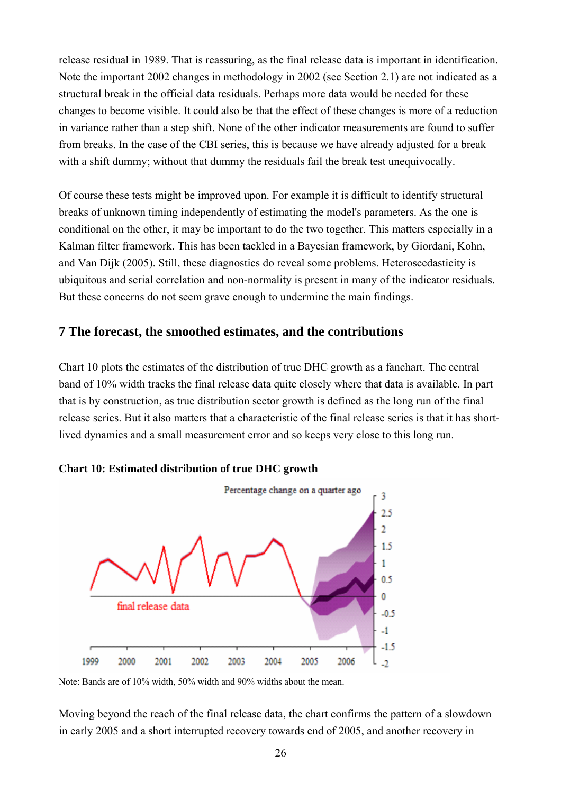release residual in 1989. That is reassuring, as the final release data is important in identification. Note the important 2002 changes in methodology in 2002 (see Section 2.1) are not indicated as a structural break in the official data residuals. Perhaps more data would be needed for these changes to become visible. It could also be that the effect of these changes is more of a reduction in variance rather than a step shift. None of the other indicator measurements are found to suffer from breaks. In the case of the CBI series, this is because we have already adjusted for a break with a shift dummy; without that dummy the residuals fail the break test unequivocally.

Of course these tests might be improved upon. For example it is difficult to identify structural breaks of unknown timing independently of estimating the model's parameters. As the one is conditional on the other, it may be important to do the two together. This matters especially in a Kalman filter framework. This has been tackled in a Bayesian framework, by Giordani, Kohn, and Van Dijk (2005). Still, these diagnostics do reveal some problems. Heteroscedasticity is ubiquitous and serial correlation and non-normality is present in many of the indicator residuals. But these concerns do not seem grave enough to undermine the main findings.

## **7 The forecast, the smoothed estimates, and the contributions**

Chart 10 plots the estimates of the distribution of true DHC growth as a fanchart. The central band of 10% width tracks the final release data quite closely where that data is available. In part that is by construction, as true distribution sector growth is defined as the long run of the final release series. But it also matters that a characteristic of the final release series is that it has shortlived dynamics and a small measurement error and so keeps very close to this long run.





Moving beyond the reach of the final release data, the chart confirms the pattern of a slowdown in early 2005 and a short interrupted recovery towards end of 2005, and another recovery in

Note: Bands are of 10% width, 50% width and 90% widths about the mean.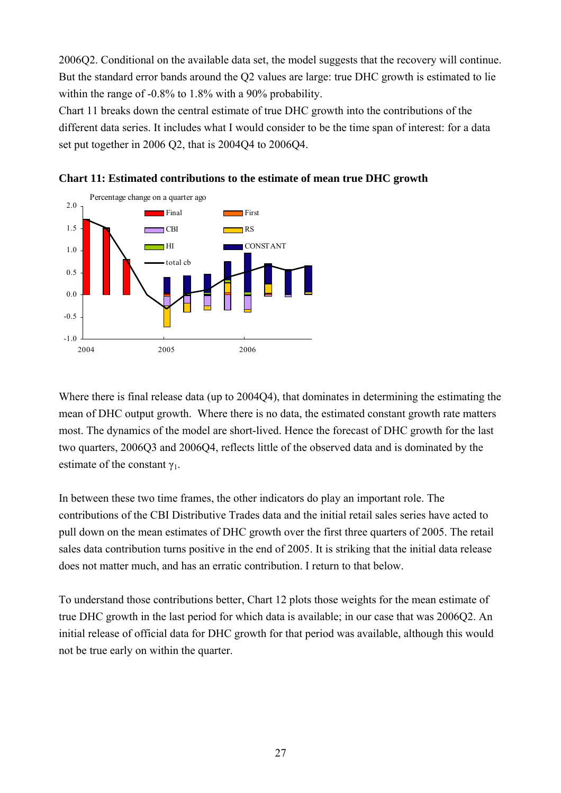2006Q2. Conditional on the available data set, the model suggests that the recovery will continue. But the standard error bands around the Q2 values are large: true DHC growth is estimated to lie within the range of -0.8% to 1.8% with a 90% probability.

Chart 11 breaks down the central estimate of true DHC growth into the contributions of the different data series. It includes what I would consider to be the time span of interest: for a data set put together in 2006 Q2, that is 2004Q4 to 2006Q4.





Where there is final release data (up to 2004Q4), that dominates in determining the estimating the mean of DHC output growth. Where there is no data, the estimated constant growth rate matters most. The dynamics of the model are short-lived. Hence the forecast of DHC growth for the last two quarters, 2006Q3 and 2006Q4, reflects little of the observed data and is dominated by the estimate of the constant  $\gamma_1$ .

In between these two time frames, the other indicators do play an important role. The contributions of the CBI Distributive Trades data and the initial retail sales series have acted to pull down on the mean estimates of DHC growth over the first three quarters of 2005. The retail sales data contribution turns positive in the end of 2005. It is striking that the initial data release does not matter much, and has an erratic contribution. I return to that below.

To understand those contributions better, Chart 12 plots those weights for the mean estimate of true DHC growth in the last period for which data is available; in our case that was 2006Q2. An initial release of official data for DHC growth for that period was available, although this would not be true early on within the quarter.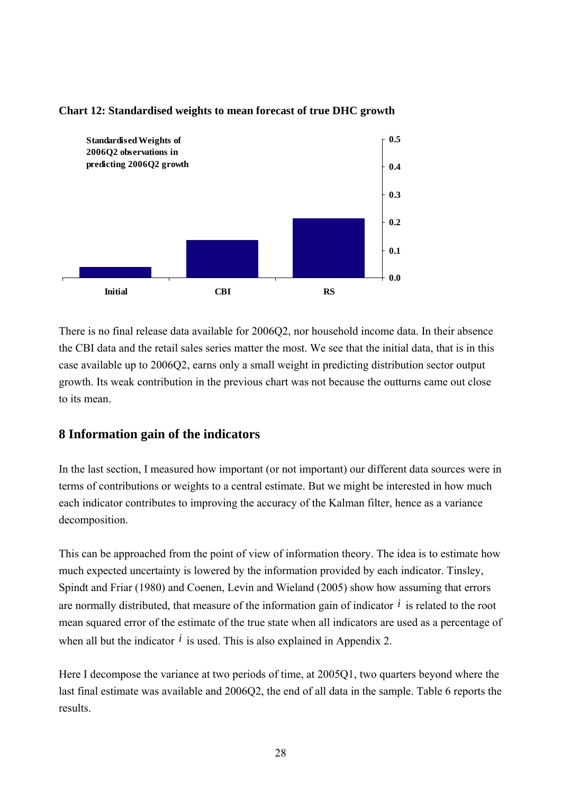

### **Chart 12: Standardised weights to mean forecast of true DHC growth**

There is no final release data available for 2006Q2, nor household income data. In their absence the CBI data and the retail sales series matter the most. We see that the initial data, that is in this case available up to 2006Q2, earns only a small weight in predicting distribution sector output growth. Its weak contribution in the previous chart was not because the outturns came out close to its mean.

## **8 Information gain of the indicators**

In the last section, I measured how important (or not important) our different data sources were in terms of contributions or weights to a central estimate. But we might be interested in how much each indicator contributes to improving the accuracy of the Kalman filter, hence as a variance decomposition.

This can be approached from the point of view of information theory. The idea is to estimate how much expected uncertainty is lowered by the information provided by each indicator. Tinsley, Spindt and Friar (1980) and Coenen, Levin and Wieland (2005) show how assuming that errors are normally distributed, that measure of the information gain of indicator *i* is related to the root mean squared error of the estimate of the true state when all indicators are used as a percentage of when all but the indicator  $\hat{i}$  is used. This is also explained in Appendix 2.

Here I decompose the variance at two periods of time, at 2005Q1, two quarters beyond where the last final estimate was available and 2006Q2, the end of all data in the sample. Table 6 reports the results.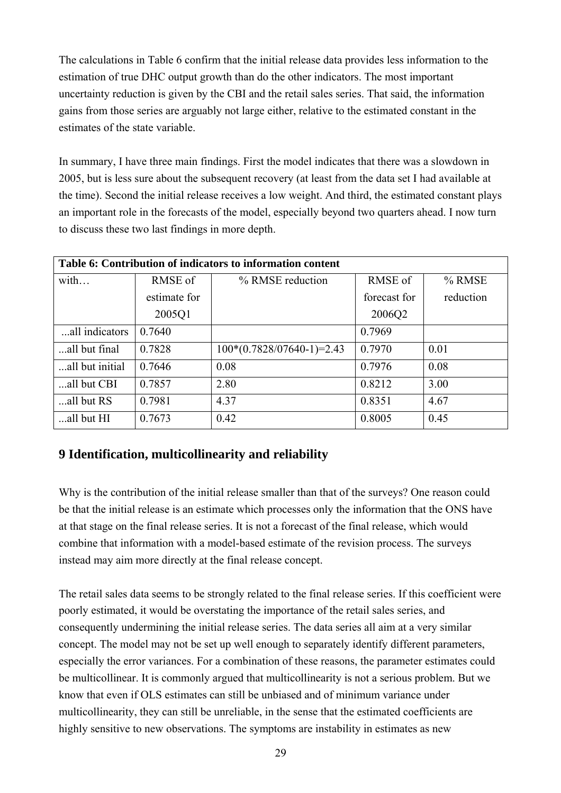The calculations in Table 6 confirm that the initial release data provides less information to the estimation of true DHC output growth than do the other indicators. The most important uncertainty reduction is given by the CBI and the retail sales series. That said, the information gains from those series are arguably not large either, relative to the estimated constant in the estimates of the state variable.

In summary, I have three main findings. First the model indicates that there was a slowdown in 2005, but is less sure about the subsequent recovery (at least from the data set I had available at the time). Second the initial release receives a low weight. And third, the estimated constant plays an important role in the forecasts of the model, especially beyond two quarters ahead. I now turn to discuss these two last findings in more depth.

| Table 6: Contribution of indicators to information content |              |                             |              |           |  |
|------------------------------------------------------------|--------------|-----------------------------|--------------|-----------|--|
| with                                                       | RMSE of      | % RMSE reduction            | RMSE of      | % RMSE    |  |
|                                                            | estimate for |                             | forecast for | reduction |  |
|                                                            | 2005Q1       |                             | 2006Q2       |           |  |
| all indicators                                             | 0.7640       |                             | 0.7969       |           |  |
| all but final                                              | 0.7828       | $100*(0.7828/07640-1)=2.43$ | 0.7970       | 0.01      |  |
| all but initial                                            | 0.7646       | 0.08                        | 0.7976       | 0.08      |  |
| all but CBI                                                | 0.7857       | 2.80                        | 0.8212       | 3.00      |  |
| all but RS                                                 | 0.7981       | 4.37                        | 0.8351       | 4.67      |  |
| all but HI                                                 | 0.7673       | 0.42                        | 0.8005       | 0.45      |  |

## **9 Identification, multicollinearity and reliability**

Why is the contribution of the initial release smaller than that of the surveys? One reason could be that the initial release is an estimate which processes only the information that the ONS have at that stage on the final release series. It is not a forecast of the final release, which would combine that information with a model-based estimate of the revision process. The surveys instead may aim more directly at the final release concept.

The retail sales data seems to be strongly related to the final release series. If this coefficient were poorly estimated, it would be overstating the importance of the retail sales series, and consequently undermining the initial release series. The data series all aim at a very similar concept. The model may not be set up well enough to separately identify different parameters, especially the error variances. For a combination of these reasons, the parameter estimates could be multicollinear. It is commonly argued that multicollinearity is not a serious problem. But we know that even if OLS estimates can still be unbiased and of minimum variance under multicollinearity, they can still be unreliable, in the sense that the estimated coefficients are highly sensitive to new observations. The symptoms are instability in estimates as new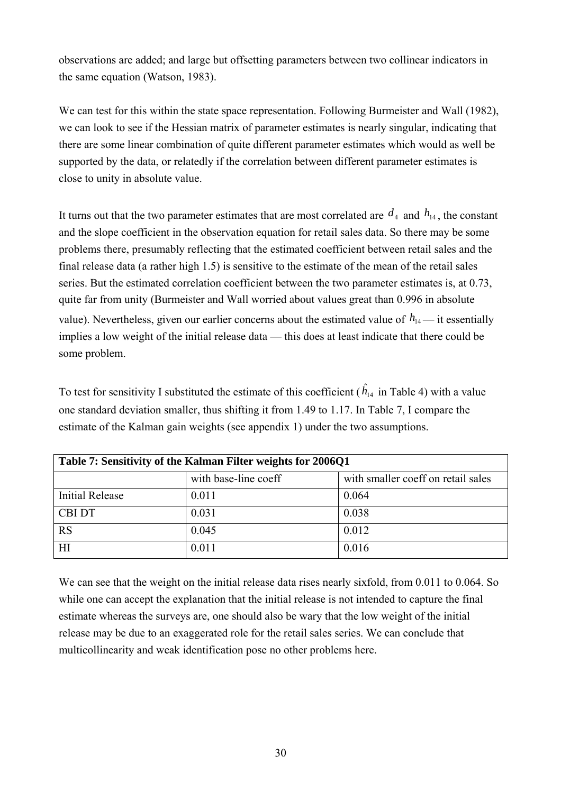observations are added; and large but offsetting parameters between two collinear indicators in the same equation (Watson, 1983).

We can test for this within the state space representation. Following Burmeister and Wall (1982), we can look to see if the Hessian matrix of parameter estimates is nearly singular, indicating that there are some linear combination of quite different parameter estimates which would as well be supported by the data, or relatedly if the correlation between different parameter estimates is close to unity in absolute value.

It turns out that the two parameter estimates that are most correlated are  $d_4$  and  $h_{14}$ , the constant and the slope coefficient in the observation equation for retail sales data. So there may be some problems there, presumably reflecting that the estimated coefficient between retail sales and the final release data (a rather high 1.5) is sensitive to the estimate of the mean of the retail sales series. But the estimated correlation coefficient between the two parameter estimates is, at 0.73, quite far from unity (Burmeister and Wall worried about values great than 0.996 in absolute value). Nevertheless, given our earlier concerns about the estimated value of  $h_{14}$  — it essentially implies a low weight of the initial release data — this does at least indicate that there could be some problem.

To test for sensitivity I substituted the estimate of this coefficient  $(\hat{h}_{14})$  in Table 4) with a value one standard deviation smaller, thus shifting it from 1.49 to 1.17. In Table 7, I compare the estimate of the Kalman gain weights (see appendix 1) under the two assumptions.

| Table 7: Sensitivity of the Kalman Filter weights for 2006Q1 |                      |                                    |  |  |
|--------------------------------------------------------------|----------------------|------------------------------------|--|--|
|                                                              | with base-line coeff | with smaller coeff on retail sales |  |  |
| <b>Initial Release</b>                                       | 0.011                | 0.064                              |  |  |
| <b>CBI DT</b>                                                | 0.031                | 0.038                              |  |  |
| <b>RS</b>                                                    | 0.045                | 0.012                              |  |  |
| HI                                                           | 0.011                | 0.016                              |  |  |

We can see that the weight on the initial release data rises nearly sixfold, from 0.011 to 0.064. So while one can accept the explanation that the initial release is not intended to capture the final estimate whereas the surveys are, one should also be wary that the low weight of the initial release may be due to an exaggerated role for the retail sales series. We can conclude that multicollinearity and weak identification pose no other problems here.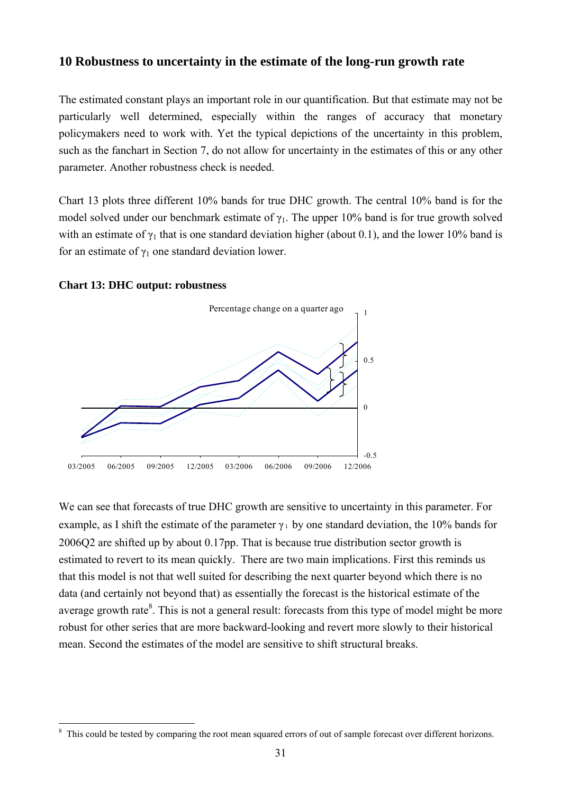## **10 Robustness to uncertainty in the estimate of the long-run growth rate**

The estimated constant plays an important role in our quantification. But that estimate may not be particularly well determined, especially within the ranges of accuracy that monetary policymakers need to work with. Yet the typical depictions of the uncertainty in this problem, such as the fanchart in Section 7, do not allow for uncertainty in the estimates of this or any other parameter. Another robustness check is needed.

Chart 13 plots three different 10% bands for true DHC growth. The central 10% band is for the model solved under our benchmark estimate of  $\gamma_1$ . The upper 10% band is for true growth solved with an estimate of  $\gamma_1$  that is one standard deviation higher (about 0.1), and the lower 10% band is for an estimate of  $\gamma_1$  one standard deviation lower.

#### **Chart 13: DHC output: robustness**

 $\overline{a}$ 



We can see that forecasts of true DHC growth are sensitive to uncertainty in this parameter. For example, as I shift the estimate of the parameter  $\gamma_1$  by one standard deviation, the 10% bands for 2006Q2 are shifted up by about 0.17pp. That is because true distribution sector growth is estimated to revert to its mean quickly. There are two main implications. First this reminds us that this model is not that well suited for describing the next quarter beyond which there is no data (and certainly not beyond that) as essentially the forecast is the historical estimate of the average growth rate $8$ . This is not a general result: forecasts from this type of model might be more robust for other series that are more backward-looking and revert more slowly to their historical mean. Second the estimates of the model are sensitive to shift structural breaks.

<sup>&</sup>lt;sup>8</sup> This could be tested by comparing the root mean squared errors of out of sample forecast over different horizons.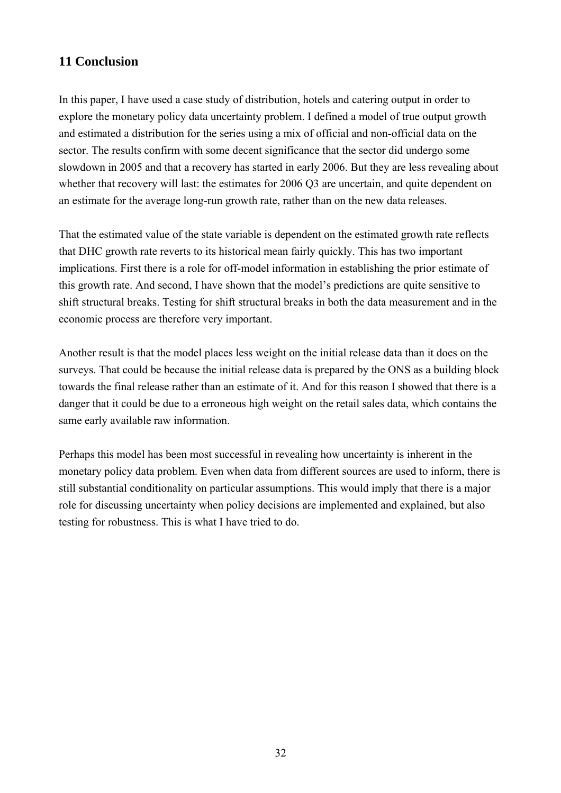## **11 Conclusion**

In this paper, I have used a case study of distribution, hotels and catering output in order to explore the monetary policy data uncertainty problem. I defined a model of true output growth and estimated a distribution for the series using a mix of official and non-official data on the sector. The results confirm with some decent significance that the sector did undergo some slowdown in 2005 and that a recovery has started in early 2006. But they are less revealing about whether that recovery will last: the estimates for 2006 Q3 are uncertain, and quite dependent on an estimate for the average long-run growth rate, rather than on the new data releases.

That the estimated value of the state variable is dependent on the estimated growth rate reflects that DHC growth rate reverts to its historical mean fairly quickly. This has two important implications. First there is a role for off-model information in establishing the prior estimate of this growth rate. And second, I have shown that the model's predictions are quite sensitive to shift structural breaks. Testing for shift structural breaks in both the data measurement and in the economic process are therefore very important.

Another result is that the model places less weight on the initial release data than it does on the surveys. That could be because the initial release data is prepared by the ONS as a building block towards the final release rather than an estimate of it. And for this reason I showed that there is a danger that it could be due to a erroneous high weight on the retail sales data, which contains the same early available raw information.

Perhaps this model has been most successful in revealing how uncertainty is inherent in the monetary policy data problem. Even when data from different sources are used to inform, there is still substantial conditionality on particular assumptions. This would imply that there is a major role for discussing uncertainty when policy decisions are implemented and explained, but also testing for robustness. This is what I have tried to do.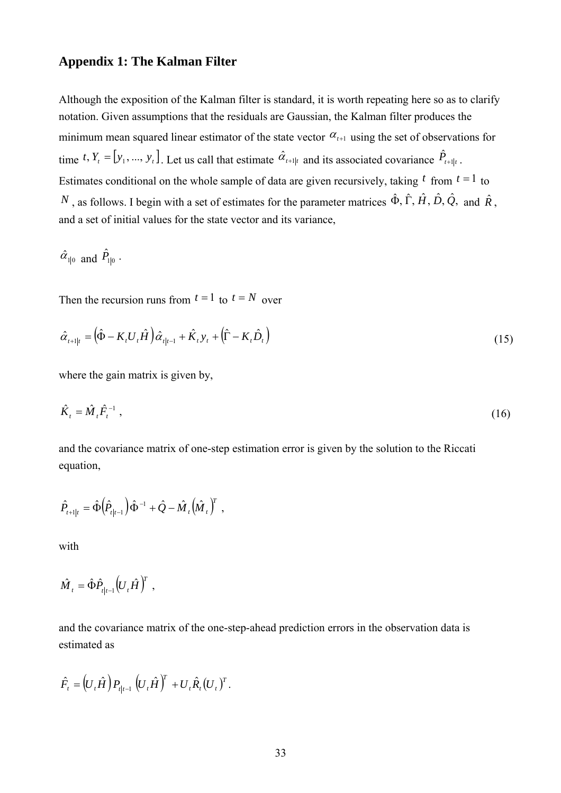#### **Appendix 1: The Kalman Filter**

Although the exposition of the Kalman filter is standard, it is worth repeating here so as to clarify notation. Given assumptions that the residuals are Gaussian, the Kalman filter produces the minimum mean squared linear estimator of the state vector  $\alpha_{t+1}$  using the set of observations for time  $t$ ,  $Y_t = [y_1, ..., y_t]$ . Let us call that estimate  $\hat{\alpha}_{t+1|t}$  and its associated covariance  $\hat{P}_{t+1|t}$ . Estimates conditional on the whole sample of data are given recursively, taking  $t$  from  $t = 1$  to *N*, as follows. I begin with a set of estimates for the parameter matrices  $\hat{\Phi}$ ,  $\hat{\Gamma}$ ,  $\hat{H}$ ,  $\hat{D}$ ,  $\hat{Q}$ , and  $\hat{R}$ . and a set of initial values for the state vector and its variance,

$$
\hat{\alpha}_{1|0}
$$
 and  $\hat{P}_{1|0}$ .

Then the recursion runs from  $t = 1$  to  $t = N$  over

$$
\hat{\alpha}_{t+1|t} = \left(\hat{\Phi} - K_t U_t \hat{H}\right) \hat{\alpha}_{t|t-1} + \hat{K}_t y_t + \left(\hat{\Gamma} - K_t \hat{D}_t\right)
$$
\n(15)

where the gain matrix is given by,

$$
\hat{K}_t = \hat{M}_t \hat{F}_t^{-1} \tag{16}
$$

and the covariance matrix of one-step estimation error is given by the solution to the Riccati equation,

$$
\hat{P}_{t+1|t} = \hat{\Phi} \Big( \hat{P}_{t|t-1} \Big) \hat{\Phi}^{-1} + \hat{Q} - \hat{M}_t \Big( \hat{M}_t \Big)^T ,
$$

with

$$
\hat{M}_{t} = \hat{\Phi}\hat{P}_{t|t-1}\left(U_{t}\hat{H}\right)^{T},
$$

and the covariance matrix of the one-step-ahead prediction errors in the observation data is estimated as

$$
\hat{F}_t = (U_t \hat{H}) P_{t|t-1} (U_t \hat{H})^T + U_t \hat{R}_t (U_t)^T.
$$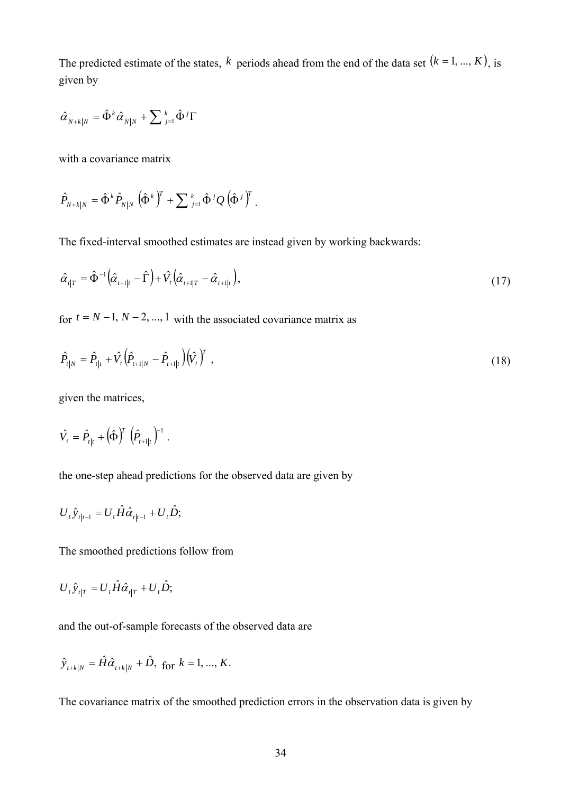The predicted estimate of the states,  $k$  periods ahead from the end of the data set  $(k = 1, ..., K)$ , is given by

$$
\hat{\alpha}_{N+k|N} = \hat{\Phi}^k \hat{\alpha}_{N|N} + \sum \frac{k}{j=1} \hat{\Phi}^j \Gamma
$$

with a covariance matrix

$$
\hat{P}_{N+k|N} = \hat{\Phi}^k \hat{P}_{N|N} \left( \hat{\Phi}^k \right)^T + \sum_{j=1}^k \hat{\Phi}^j Q \left( \hat{\Phi}^j \right)^T.
$$

The fixed-interval smoothed estimates are instead given by working backwards:

$$
\hat{\alpha}_{t|T} = \hat{\Phi}^{-1} \left( \hat{\alpha}_{t+1|t} - \hat{\Gamma} \right) + \hat{V}_t \left( \hat{\alpha}_{t+1|T} - \hat{\alpha}_{t+1|t} \right),\tag{17}
$$

for  $t = N - 1, N - 2, ..., 1$  with the associated covariance matrix as

$$
\hat{P}_{t|N} = \hat{P}_{t|t} + \hat{V}_t \Big( \hat{P}_{t+1|N} - \hat{P}_{t+1|t} \Big) \Big( \hat{V}_t \Big)^T , \qquad (18)
$$

given the matrices,

$$
\hat{V}_t = \hat{P}_{t|t} + (\hat{\Phi})^T (\hat{P}_{t+1|t})^{-1}.
$$

the one-step ahead predictions for the observed data are given by

$$
U_{t}\hat{y}_{t|t-1} = U_{t}\hat{H}\hat{\alpha}_{t|t-1} + U_{t}\hat{D};
$$

The smoothed predictions follow from

$$
U_{t}\hat{y}_{t|T} = U_{t}\hat{H}\hat{\alpha}_{t|T} + U_{t}\hat{D};
$$

and the out-of-sample forecasts of the observed data are

$$
\hat{y}_{t+k|N} = \hat{H}\hat{\alpha}_{t+k|N} + \hat{D}, \text{ for } k = 1, ..., K.
$$

The covariance matrix of the smoothed prediction errors in the observation data is given by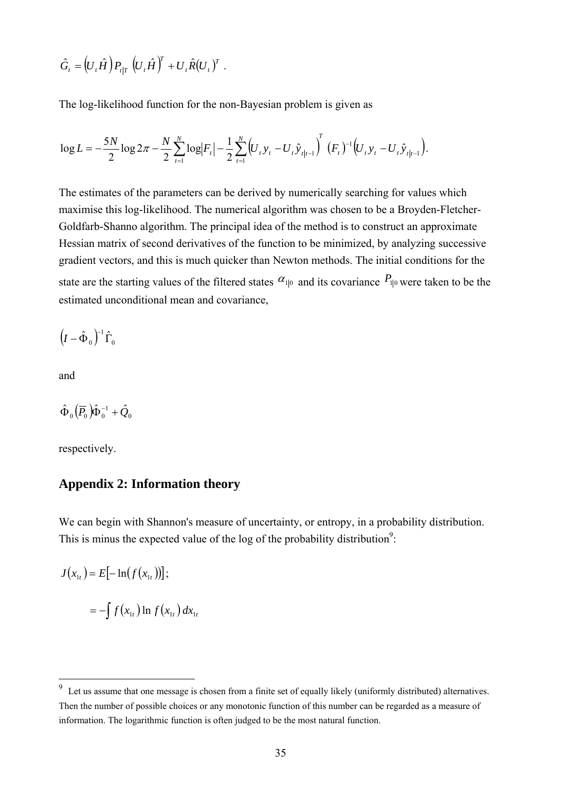$$
\hat{G}_t = (U_t \hat{H}) P_{t|T} (U_t \hat{H})^T + U_t \hat{R}(U_t)^T.
$$

The log-likelihood function for the non-Bayesian problem is given as

$$
\log L = -\frac{5N}{2} \log 2\pi - \frac{N}{2} \sum_{t=1}^{N} \log |F_t| - \frac{1}{2} \sum_{t=1}^{N} \left( U_t y_t - U_t \hat{y}_{t} \right)^T (F_t)^{-1} \left( U_t y_t - U_t \hat{y}_{t} \right).
$$

The estimates of the parameters can be derived by numerically searching for values which maximise this log-likelihood. The numerical algorithm was chosen to be a Broyden-Fletcher-Goldfarb-Shanno algorithm. The principal idea of the method is to construct an approximate Hessian matrix of second derivatives of the function to be minimized, by analyzing successive gradient vectors, and this is much quicker than Newton methods. The initial conditions for the state are the starting values of the filtered states  $\alpha_{1|0}$  and its covariance  $P_{1|0}$  were taken to be the estimated unconditional mean and covariance,

 $\left( I - \hat{\Phi}_0 \right)^{\!-1}\hat{\Gamma}_0$ 

and

 $\overline{a}$ 

$$
\hat{\Phi}_0 \left( \overline{P}_0 \right) \hat{\Phi}_0^{-1} + \hat{Q}_0
$$

respectively.

## **Appendix 2: Information theory**

We can begin with Shannon's measure of uncertainty, or entropy, in a probability distribution. This is minus the expected value of the log of the probability distribution<sup>9</sup>:

$$
J(x_{1t}) = E[-\ln(f(x_{1t}))];
$$
  

$$
= -\int f(x_{1t}) \ln f(x_{1t}) dx_{1t}
$$

<sup>9</sup> Let us assume that one message is chosen from a finite set of equally likely (uniformly distributed) alternatives. Then the number of possible choices or any monotonic function of this number can be regarded as a measure of information. The logarithmic function is often judged to be the most natural function.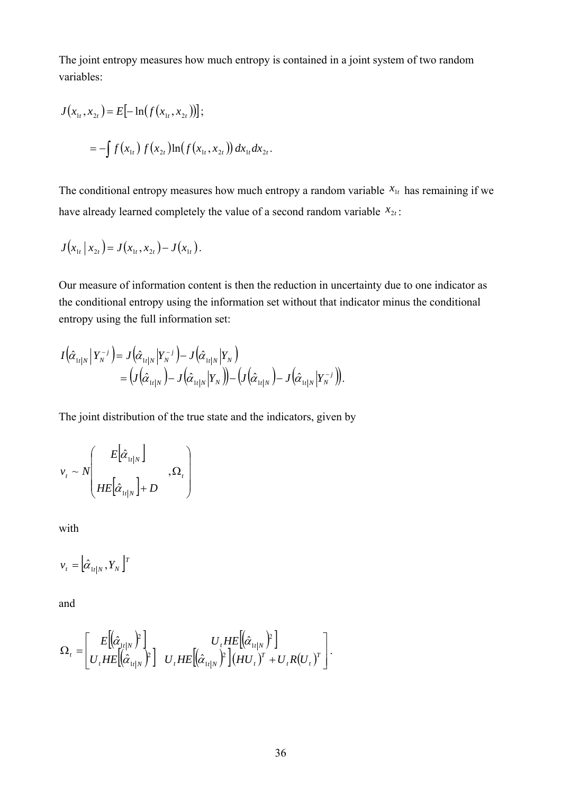The joint entropy measures how much entropy is contained in a joint system of two random variables:

$$
J(x_{1t}, x_{2t}) = E[-\ln(f(x_{1t}, x_{2t}))];
$$
  
=  $-\int f(x_{1t}) f(x_{2t}) \ln(f(x_{1t}, x_{2t})) dx_{1t} dx_{2t}.$ 

The conditional entropy measures how much entropy a random variable  $x_{1t}$  has remaining if we have already learned completely the value of a second random variable  $x_{2t}$ :

$$
J(x_{1t} | x_{2t}) = J(x_{1t}, x_{2t}) - J(x_{1t}).
$$

Our measure of information content is then the reduction in uncertainty due to one indicator as the conditional entropy using the information set without that indicator minus the conditional entropy using the full information set:

$$
I(\hat{\alpha}_{1t|N}|Y_{N}^{-j}) = J(\hat{\alpha}_{1t|N}|Y_{N}^{-j}) - J(\hat{\alpha}_{1t|N}|Y_{N})
$$
  
=  $(J(\hat{\alpha}_{1t|N}) - J(\hat{\alpha}_{1t|N}|Y_{N})) - (J(\hat{\alpha}_{1t|N}) - J(\hat{\alpha}_{1t|N}|Y_{N}^{-j})).$ 

The joint distribution of the true state and the indicators, given by

$$
v_t \sim N \left( \begin{array}{c} E\big[\hat{\alpha}_{1t|N}\big] \\ H E\big[\hat{\alpha}_{1t|N}\big] + D \end{array} \right), \Omega_t \right)
$$

with

$$
v_t = \left[\hat{\alpha}_{1t|N}, Y_N\right]^T
$$

and

$$
\Omega_t = \begin{bmatrix} E\left[\hat{\alpha}_{1t|N}\right)^2 \\ U_t H E\left[\hat{\alpha}_{1t|N}\right)^2 \end{bmatrix} U_t H E\left[\left(\hat{\alpha}_{1t|N}\right)^2\right] (HU_t)^T + U_t R (U_t)^T \end{bmatrix}.
$$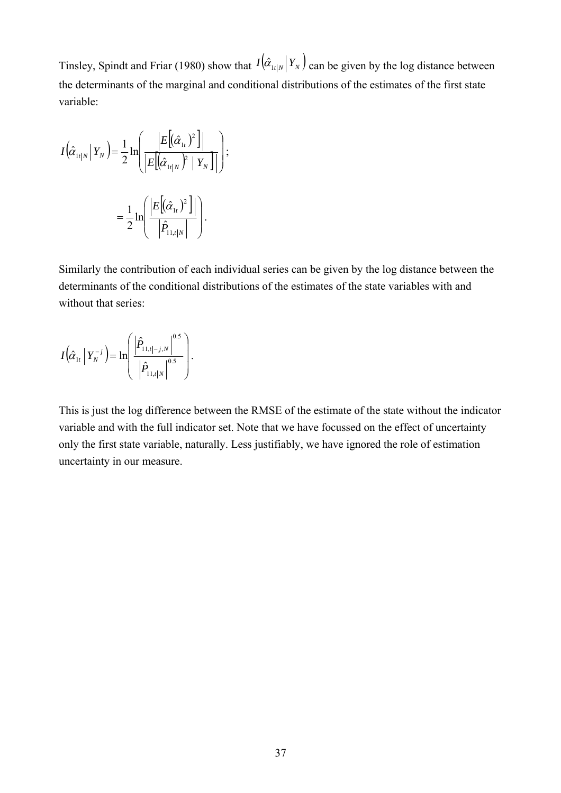Tinsley, Spindt and Friar (1980) show that  $I(\hat{\alpha}_{1t|N}|Y_N)$  can be given by the log distance between the determinants of the marginal and conditional distributions of the estimates of the first state variable:

$$
I(\hat{\alpha}_{1t|N} | Y_N) = \frac{1}{2} \ln \left( \frac{\left| E[(\hat{\alpha}_{1t}|)^2] \right|}{\left| E[(\hat{\alpha}_{1t|N})^2 | Y_N] \right|} \right);
$$

$$
= \frac{1}{2} \ln \left( \frac{\left| E[(\hat{\alpha}_{1t}|)^2] \right|}{\left| \hat{P}_{11,t|N} \right|} \right).
$$

Similarly the contribution of each individual series can be given by the log distance between the determinants of the conditional distributions of the estimates of the state variables with and without that series:

$$
I(\hat{\alpha}_{1t} | Y_{N}^{-j}) = \ln \left( \frac{\left| \hat{P}_{11,t|-j,N} \right|^{0.5}}{\left| \hat{P}_{11,t|N} \right|^{0.5}} \right).
$$

This is just the log difference between the RMSE of the estimate of the state without the indicator variable and with the full indicator set. Note that we have focussed on the effect of uncertainty only the first state variable, naturally. Less justifiably, we have ignored the role of estimation uncertainty in our measure.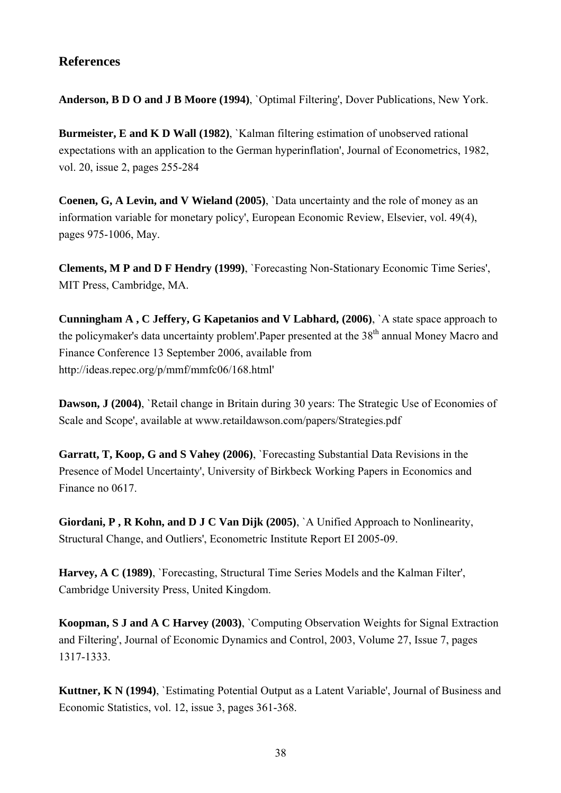## **References**

**Anderson, B D O and J B Moore (1994)**, `Optimal Filtering', Dover Publications, New York.

**Burmeister, E and K D Wall (1982), `Kalman filtering estimation of unobserved rational** expectations with an application to the German hyperinflation', Journal of Econometrics, 1982, vol. 20, issue 2, pages 255-284

**Coenen, G, A Levin, and V Wieland (2005)**, `Data uncertainty and the role of money as an information variable for monetary policy', European Economic Review, Elsevier, vol. 49(4), pages 975-1006, May.

**Clements, M P and D F Hendry (1999)**, `Forecasting Non-Stationary Economic Time Series', MIT Press, Cambridge, MA.

**Cunningham A , C Jeffery, G Kapetanios and V Labhard, (2006)**, `A state space approach to the policymaker's data uncertainty problem'.Paper presented at the 38<sup>th</sup> annual Money Macro and Finance Conference 13 September 2006, available from http://ideas.repec.org/p/mmf/mmfc06/168.html'

**Dawson, J (2004)**, `Retail change in Britain during 30 years: The Strategic Use of Economies of Scale and Scope', available at www.retaildawson.com/papers/Strategies.pdf

**Garratt, T, Koop, G and S Vahey (2006)**, `Forecasting Substantial Data Revisions in the Presence of Model Uncertainty', University of Birkbeck Working Papers in Economics and Finance no 0617.

**Giordani, P , R Kohn, and D J C Van Dijk (2005)**, `A Unified Approach to Nonlinearity, Structural Change, and Outliers', Econometric Institute Report EI 2005-09.

**Harvey, A C (1989)**, `Forecasting, Structural Time Series Models and the Kalman Filter', Cambridge University Press, United Kingdom.

**Koopman, S J and A C Harvey (2003)**, `Computing Observation Weights for Signal Extraction and Filtering', Journal of Economic Dynamics and Control, 2003, Volume 27, Issue 7, pages 1317-1333.

**Kuttner, K N (1994)**, `Estimating Potential Output as a Latent Variable', Journal of Business and Economic Statistics, vol. 12, issue 3, pages 361-368.